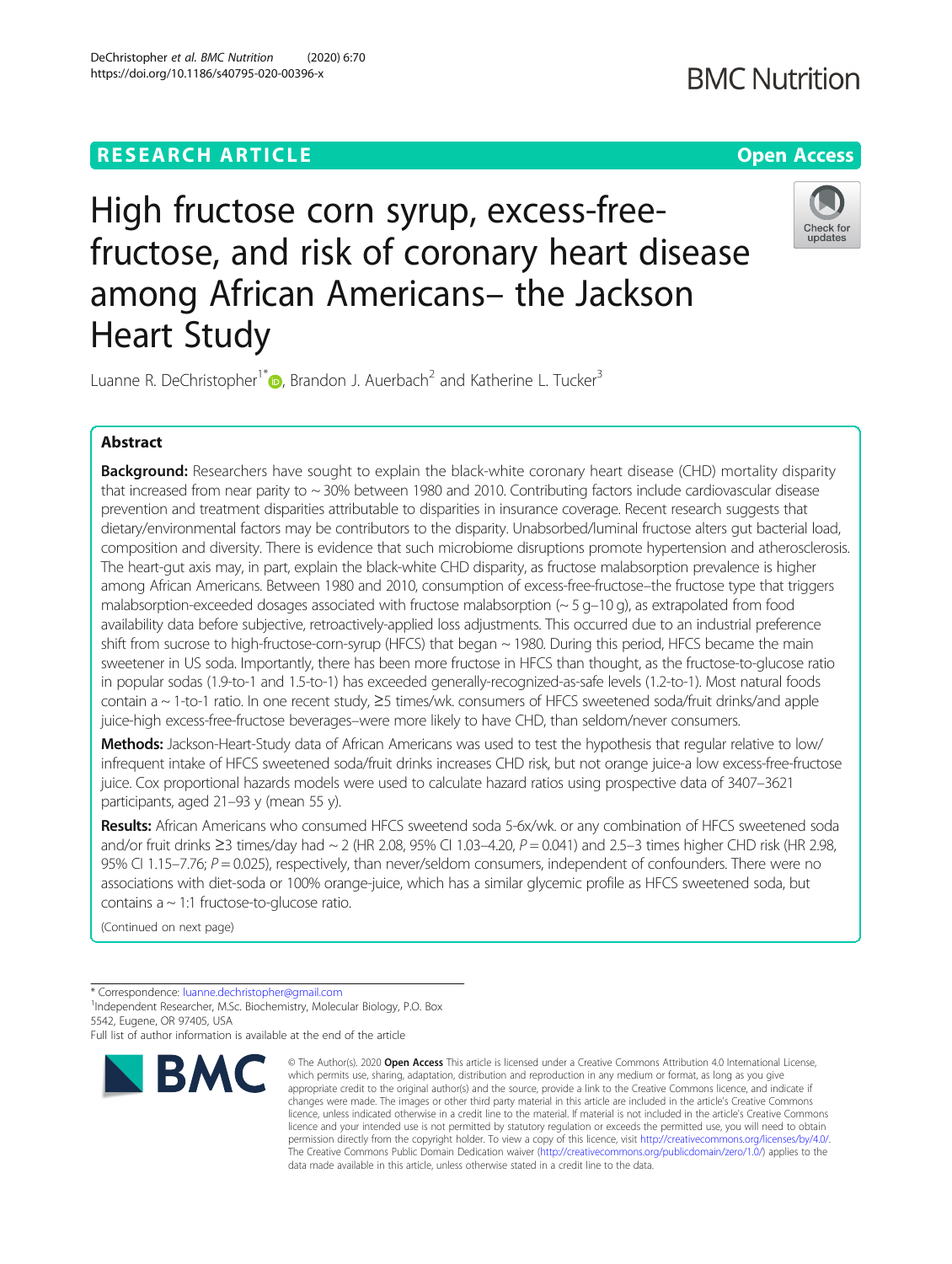

High fructose corn syrup, excess-freefructose, and risk of coronary heart disease among African Americans– the Jackson Heart Study

Luanne R. DeChristopher<sup>1\*</sup> $\bullet$ [,](http://orcid.org/0000-0002-3540-0405) Brandon J. Auerbach<sup>2</sup> and Katherine L. Tucker<sup>3</sup>

# Abstract

Background: Researchers have sought to explain the black-white coronary heart disease (CHD) mortality disparity that increased from near parity to  $\sim$  30% between 1980 and 2010. Contributing factors include cardiovascular disease prevention and treatment disparities attributable to disparities in insurance coverage. Recent research suggests that dietary/environmental factors may be contributors to the disparity. Unabsorbed/luminal fructose alters gut bacterial load, composition and diversity. There is evidence that such microbiome disruptions promote hypertension and atherosclerosis. The heart-gut axis may, in part, explain the black-white CHD disparity, as fructose malabsorption prevalence is higher among African Americans. Between 1980 and 2010, consumption of excess-free-fructose–the fructose type that triggers malabsorption-exceeded dosages associated with fructose malabsorption (~ 5 g–10 g), as extrapolated from food availability data before subjective, retroactively-applied loss adjustments. This occurred due to an industrial preference shift from sucrose to high-fructose-corn-syrup (HFCS) that began ~ 1980. During this period, HFCS became the main sweetener in US soda. Importantly, there has been more fructose in HFCS than thought, as the fructose-to-glucose ratio in popular sodas (1.9-to-1 and 1.5-to-1) has exceeded generally-recognized-as-safe levels (1.2-to-1). Most natural foods contain a ~ 1-to-1 ratio. In one recent study, ≥5 times/wk. consumers of HFCS sweetened soda/fruit drinks/and apple juice-high excess-free-fructose beverages–were more likely to have CHD, than seldom/never consumers.

Methods: Jackson-Heart-Study data of African Americans was used to test the hypothesis that regular relative to low/ infrequent intake of HFCS sweetened soda/fruit drinks increases CHD risk, but not orange juice-a low excess-free-fructose juice. Cox proportional hazards models were used to calculate hazard ratios using prospective data of 3407–3621 participants, aged 21–93 y (mean 55 y).

Results: African Americans who consumed HFCS sweetend soda 5-6x/wk. or any combination of HFCS sweetened soda and/or fruit drinks ≥3 times/day had  $\sim$  2 (HR 2.08, 95% CI 1.03–4.20,  $P = 0.041$ ) and 2.5–3 times higher CHD risk (HR 2.98, 95% CI 1.15–7.76;  $P = 0.025$ ), respectively, than never/seldom consumers, independent of confounders. There were no associations with diet-soda or 100% orange-juice, which has a similar glycemic profile as HFCS sweetened soda, but contains  $a \sim 1:1$  fructose-to-glucose ratio.

(Continued on next page)

Full list of author information is available at the end of the article



<sup>©</sup> The Author(s), 2020 **Open Access** This article is licensed under a Creative Commons Attribution 4.0 International License, which permits use, sharing, adaptation, distribution and reproduction in any medium or format, as long as you give appropriate credit to the original author(s) and the source, provide a link to the Creative Commons licence, and indicate if changes were made. The images or other third party material in this article are included in the article's Creative Commons licence, unless indicated otherwise in a credit line to the material. If material is not included in the article's Creative Commons licence and your intended use is not permitted by statutory regulation or exceeds the permitted use, you will need to obtain permission directly from the copyright holder. To view a copy of this licence, visit [http://creativecommons.org/licenses/by/4.0/.](http://creativecommons.org/licenses/by/4.0/) The Creative Commons Public Domain Dedication waiver [\(http://creativecommons.org/publicdomain/zero/1.0/](http://creativecommons.org/publicdomain/zero/1.0/)) applies to the data made available in this article, unless otherwise stated in a credit line to the data.

<sup>\*</sup> Correspondence: [luanne.dechristopher@gmail.com](mailto:luanne.dechristopher@gmail.com) <sup>1</sup>

<sup>&</sup>lt;sup>1</sup>Independent Researcher, M.Sc. Biochemistry, Molecular Biology, P.O. Box 5542, Eugene, OR 97405, USA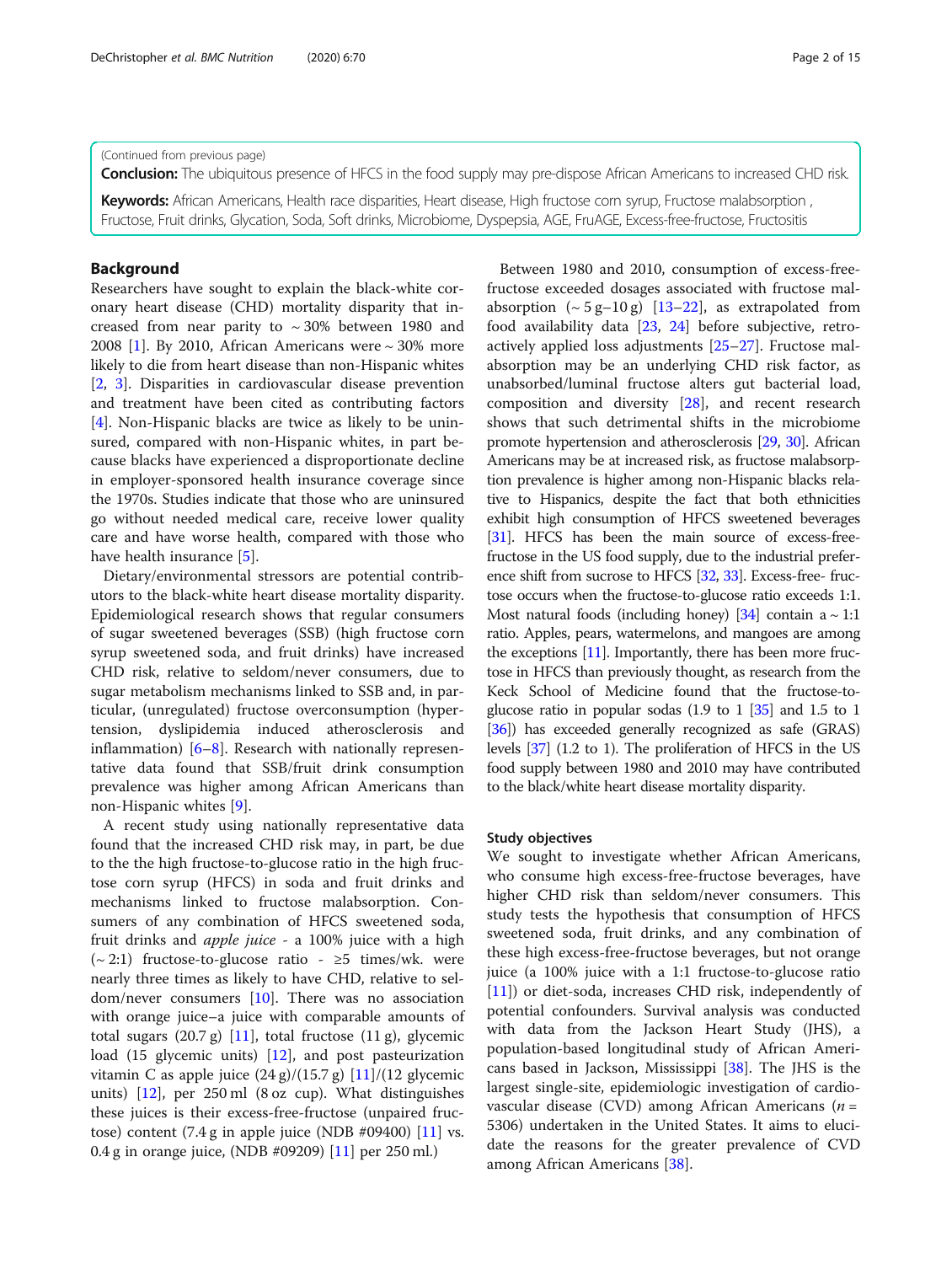#### (Continued from previous page)

Conclusion: The ubiquitous presence of HFCS in the food supply may pre-dispose African Americans to increased CHD risk.

Keywords: African Americans, Health race disparities, Heart disease, High fructose corn syrup, Fructose malabsorption, Fructose, Fruit drinks, Glycation, Soda, Soft drinks, Microbiome, Dyspepsia, AGE, FruAGE, Excess-free-fructose, Fructositis

### Background

Researchers have sought to explain the black-white coronary heart disease (CHD) mortality disparity that increased from near parity to  $\sim 30\%$  between 1980 and 2008 [\[1](#page-11-0)]. By 2010, African Americans were ~ 30% more likely to die from heart disease than non-Hispanic whites [[2,](#page-11-0) [3](#page-11-0)]. Disparities in cardiovascular disease prevention and treatment have been cited as contributing factors [[4\]](#page-11-0). Non-Hispanic blacks are twice as likely to be uninsured, compared with non-Hispanic whites, in part because blacks have experienced a disproportionate decline in employer-sponsored health insurance coverage since the 1970s. Studies indicate that those who are uninsured go without needed medical care, receive lower quality care and have worse health, compared with those who have health insurance [[5\]](#page-11-0).

Dietary/environmental stressors are potential contributors to the black-white heart disease mortality disparity. Epidemiological research shows that regular consumers of sugar sweetened beverages (SSB) (high fructose corn syrup sweetened soda, and fruit drinks) have increased CHD risk, relative to seldom/never consumers, due to sugar metabolism mechanisms linked to SSB and, in particular, (unregulated) fructose overconsumption (hypertension, dyslipidemia induced atherosclerosis and inflammation) [[6](#page-11-0)–[8](#page-11-0)]. Research with nationally representative data found that SSB/fruit drink consumption prevalence was higher among African Americans than non-Hispanic whites [\[9](#page-11-0)].

A recent study using nationally representative data found that the increased CHD risk may, in part, be due to the the high fructose-to-glucose ratio in the high fructose corn syrup (HFCS) in soda and fruit drinks and mechanisms linked to fructose malabsorption. Consumers of any combination of HFCS sweetened soda, fruit drinks and *apple juice -* a 100% juice with a high  $\left(\sim 2:1\right)$  fructose-to-glucose ratio - ≥5 times/wk. were nearly three times as likely to have CHD, relative to seldom/never consumers [\[10](#page-11-0)]. There was no association with orange juice–a juice with comparable amounts of total sugars (20.7 g) [[11](#page-11-0)], total fructose (11 g), glycemic load (15 glycemic units) [[12\]](#page-11-0), and post pasteurization vitamin C as apple juice  $(24 g)/(15.7 g)$  [\[11\]](#page-11-0)/(12 glycemic units) [\[12](#page-11-0)], per 250 ml (8 oz cup). What distinguishes these juices is their excess-free-fructose (unpaired fructose) content  $(7.4 g \text{ in apple juice (NDB #09400) } [11] \text{ vs.}$  $(7.4 g \text{ in apple juice (NDB #09400) } [11] \text{ vs.}$  $(7.4 g \text{ in apple juice (NDB #09400) } [11] \text{ vs.}$ 0.4 g in orange juice, (NDB #09209) [\[11](#page-11-0)] per 250 ml.)

Between 1980 and 2010, consumption of excess-freefructose exceeded dosages associated with fructose malabsorption  $({\sim}5 \text{ g}-10 \text{ g})$  [[13](#page-11-0)–[22](#page-11-0)], as extrapolated from food availability data [[23,](#page-11-0) [24\]](#page-11-0) before subjective, retroactively applied loss adjustments [[25](#page-11-0)–[27](#page-12-0)]. Fructose malabsorption may be an underlying CHD risk factor, as unabsorbed/luminal fructose alters gut bacterial load, composition and diversity [\[28](#page-12-0)], and recent research shows that such detrimental shifts in the microbiome promote hypertension and atherosclerosis [\[29](#page-12-0), [30](#page-12-0)]. African Americans may be at increased risk, as fructose malabsorption prevalence is higher among non-Hispanic blacks relative to Hispanics, despite the fact that both ethnicities exhibit high consumption of HFCS sweetened beverages [[31](#page-12-0)]. HFCS has been the main source of excess-freefructose in the US food supply, due to the industrial prefer-ence shift from sucrose to HFCS [[32,](#page-12-0) [33](#page-12-0)]. Excess-free-fructose occurs when the fructose-to-glucose ratio exceeds 1:1. Most natural foods (including honey) [\[34\]](#page-12-0) contain a  $\sim$  1:1 ratio. Apples, pears, watermelons, and mangoes are among the exceptions [\[11\]](#page-11-0). Importantly, there has been more fructose in HFCS than previously thought, as research from the Keck School of Medicine found that the fructose-toglucose ratio in popular sodas  $(1.9 \text{ to } 1 \text{ } 35)$  and 1.5 to 1 [[36](#page-12-0)]) has exceeded generally recognized as safe (GRAS) levels [\[37\]](#page-12-0) (1.2 to 1). The proliferation of HFCS in the US food supply between 1980 and 2010 may have contributed to the black/white heart disease mortality disparity.

### Study objectives

We sought to investigate whether African Americans, who consume high excess-free-fructose beverages, have higher CHD risk than seldom/never consumers. This study tests the hypothesis that consumption of HFCS sweetened soda, fruit drinks, and any combination of these high excess-free-fructose beverages, but not orange juice (a 100% juice with a 1:1 fructose-to-glucose ratio [[11\]](#page-11-0)) or diet-soda, increases CHD risk, independently of potential confounders. Survival analysis was conducted with data from the Jackson Heart Study (JHS), a population-based longitudinal study of African Americans based in Jackson, Mississippi [[38\]](#page-12-0). The JHS is the largest single-site, epidemiologic investigation of cardiovascular disease (CVD) among African Americans ( $n =$ 5306) undertaken in the United States. It aims to elucidate the reasons for the greater prevalence of CVD among African Americans [[38](#page-12-0)].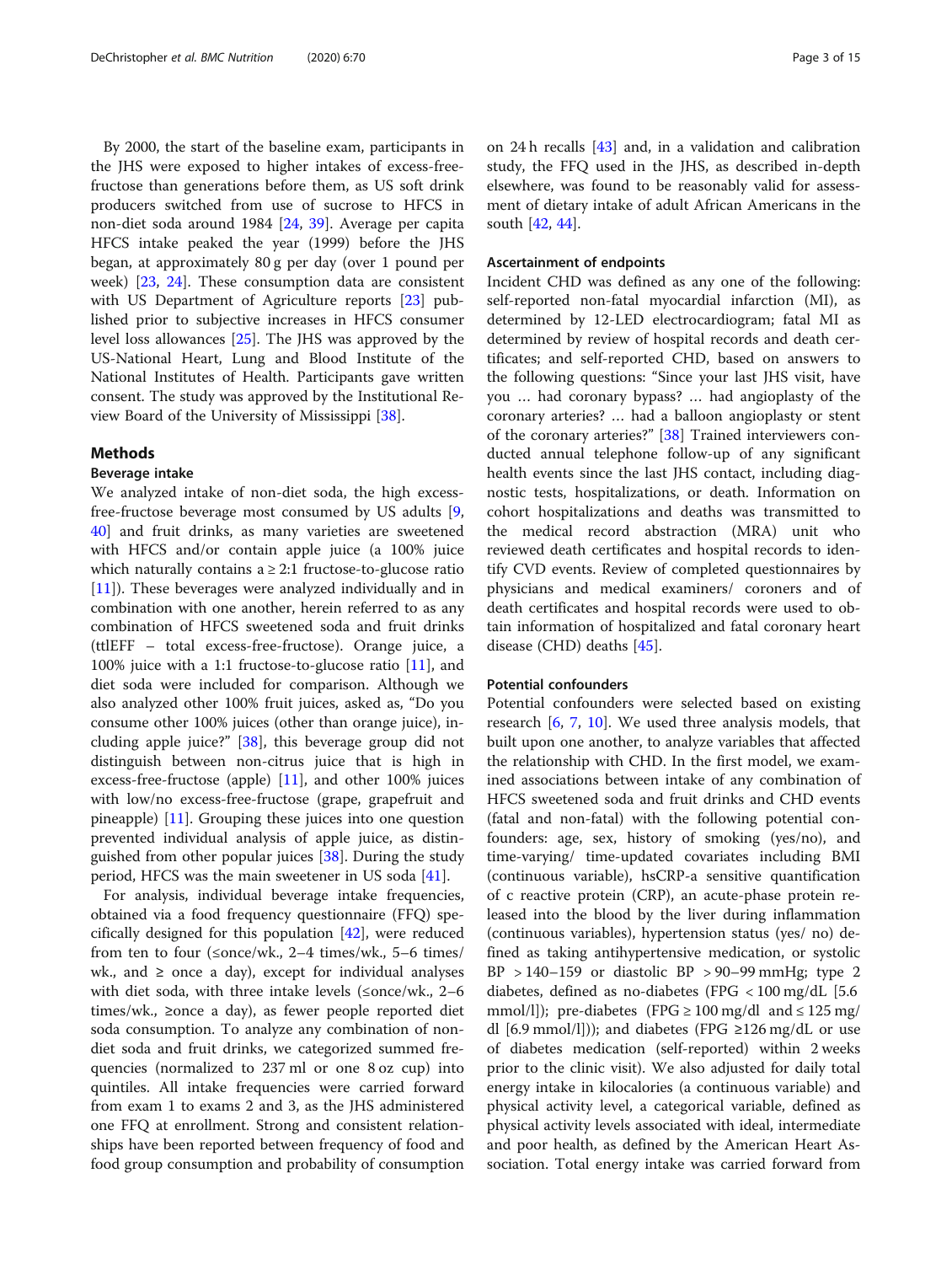By 2000, the start of the baseline exam, participants in the JHS were exposed to higher intakes of excess-freefructose than generations before them, as US soft drink producers switched from use of sucrose to HFCS in non-diet soda around 1984 [[24](#page-11-0), [39](#page-12-0)]. Average per capita HFCS intake peaked the year (1999) before the JHS began, at approximately 80 g per day (over 1 pound per week) [[23,](#page-11-0) [24](#page-11-0)]. These consumption data are consistent with US Department of Agriculture reports [\[23](#page-11-0)] published prior to subjective increases in HFCS consumer level loss allowances [[25](#page-11-0)]. The JHS was approved by the US-National Heart, Lung and Blood Institute of the National Institutes of Health. Participants gave written consent. The study was approved by the Institutional Review Board of the University of Mississippi [\[38](#page-12-0)].

### Methods

### Beverage intake

We analyzed intake of non-diet soda, the high excessfree-fructose beverage most consumed by US adults [\[9](#page-11-0), [40\]](#page-12-0) and fruit drinks, as many varieties are sweetened with HFCS and/or contain apple juice (a 100% juice which naturally contains  $a \geq 2:1$  fructose-to-glucose ratio [[11\]](#page-11-0)). These beverages were analyzed individually and in combination with one another, herein referred to as any combination of HFCS sweetened soda and fruit drinks (ttlEFF – total excess-free-fructose). Orange juice, a 100% juice with a 1:1 fructose-to-glucose ratio [[11\]](#page-11-0), and diet soda were included for comparison. Although we also analyzed other 100% fruit juices, asked as, "Do you consume other 100% juices (other than orange juice), including apple juice?" [[38\]](#page-12-0), this beverage group did not distinguish between non-citrus juice that is high in excess-free-fructose (apple) [\[11](#page-11-0)], and other 100% juices with low/no excess-free-fructose (grape, grapefruit and pineapple) [[11\]](#page-11-0). Grouping these juices into one question prevented individual analysis of apple juice, as distinguished from other popular juices [[38](#page-12-0)]. During the study period, HFCS was the main sweetener in US soda [[41](#page-12-0)].

For analysis, individual beverage intake frequencies, obtained via a food frequency questionnaire (FFQ) specifically designed for this population [[42\]](#page-12-0), were reduced from ten to four (≤once/wk., 2–4 times/wk., 5–6 times/ wk., and  $\geq$  once a day), except for individual analyses with diet soda, with three intake levels (≤once/wk., 2–6 times/wk., ≥once a day), as fewer people reported diet soda consumption. To analyze any combination of nondiet soda and fruit drinks, we categorized summed frequencies (normalized to 237 ml or one 8 oz cup) into quintiles. All intake frequencies were carried forward from exam 1 to exams 2 and 3, as the JHS administered one FFQ at enrollment. Strong and consistent relationships have been reported between frequency of food and food group consumption and probability of consumption on 24 h recalls [\[43](#page-12-0)] and, in a validation and calibration study, the FFQ used in the JHS, as described in-depth elsewhere, was found to be reasonably valid for assessment of dietary intake of adult African Americans in the south [[42](#page-12-0), [44](#page-12-0)].

### Ascertainment of endpoints

Incident CHD was defined as any one of the following: self-reported non-fatal myocardial infarction (MI), as determined by 12-LED electrocardiogram; fatal MI as determined by review of hospital records and death certificates; and self-reported CHD, based on answers to the following questions: "Since your last JHS visit, have you … had coronary bypass? … had angioplasty of the coronary arteries? … had a balloon angioplasty or stent of the coronary arteries?" [[38](#page-12-0)] Trained interviewers conducted annual telephone follow-up of any significant health events since the last JHS contact, including diagnostic tests, hospitalizations, or death. Information on cohort hospitalizations and deaths was transmitted to the medical record abstraction (MRA) unit who reviewed death certificates and hospital records to identify CVD events. Review of completed questionnaires by physicians and medical examiners/ coroners and of death certificates and hospital records were used to obtain information of hospitalized and fatal coronary heart disease (CHD) deaths [\[45](#page-12-0)].

### Potential confounders

Potential confounders were selected based on existing research [[6,](#page-11-0) [7,](#page-11-0) [10](#page-11-0)]. We used three analysis models, that built upon one another, to analyze variables that affected the relationship with CHD. In the first model, we examined associations between intake of any combination of HFCS sweetened soda and fruit drinks and CHD events (fatal and non-fatal) with the following potential confounders: age, sex, history of smoking (yes/no), and time-varying/ time-updated covariates including BMI (continuous variable), hsCRP-a sensitive quantification of c reactive protein (CRP), an acute-phase protein released into the blood by the liver during inflammation (continuous variables), hypertension status (yes/ no) defined as taking antihypertensive medication, or systolic  $BP > 140-159$  or diastolic  $BP > 90-99$  mmHg; type 2 diabetes, defined as no-diabetes (FPG < 100 mg/dL [5.6 mmol/l]); pre-diabetes (FPG  $\geq 100 \text{ mg/dl}$  and  $\leq 125 \text{ mg/}$ dl [6.9 mmol/l])); and diabetes (FPG ≥126 mg/dL or use of diabetes medication (self-reported) within 2 weeks prior to the clinic visit). We also adjusted for daily total energy intake in kilocalories (a continuous variable) and physical activity level, a categorical variable, defined as physical activity levels associated with ideal, intermediate and poor health, as defined by the American Heart Association. Total energy intake was carried forward from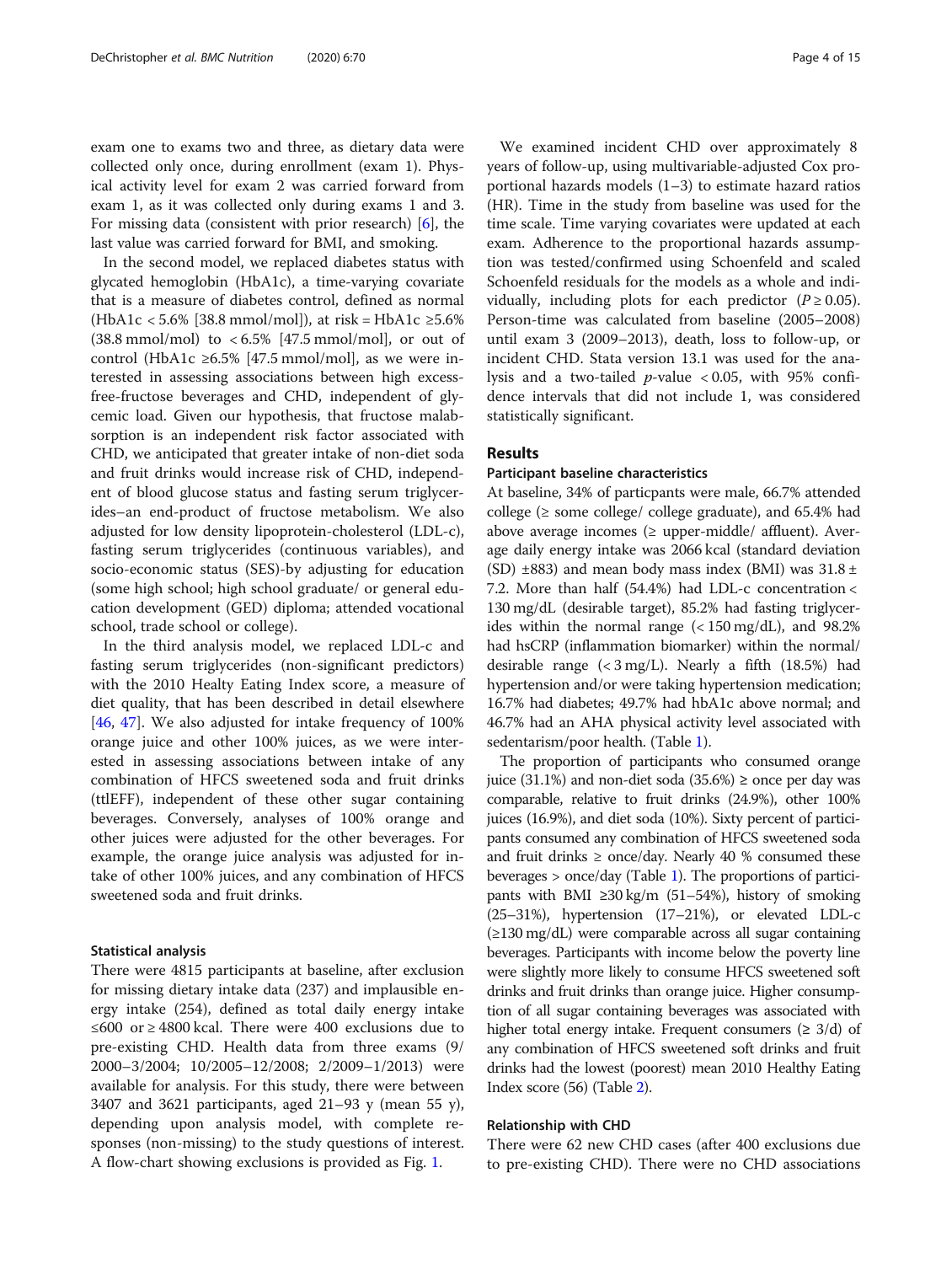exam one to exams two and three, as dietary data were collected only once, during enrollment (exam 1). Physical activity level for exam 2 was carried forward from exam 1, as it was collected only during exams 1 and 3. For missing data (consistent with prior research) [\[6](#page-11-0)], the last value was carried forward for BMI, and smoking.

In the second model, we replaced diabetes status with glycated hemoglobin (HbA1c), a time-varying covariate that is a measure of diabetes control, defined as normal (HbA1c < 5.6% [38.8 mmol/mol]), at risk = HbA1c  $\geq$ 5.6%  $(38.8 \text{ mmol/mol})$  to  $< 6.5\%$  [47.5 mmol/mol], or out of control (HbA1c ≥6.5% [47.5 mmol/mol], as we were interested in assessing associations between high excessfree-fructose beverages and CHD, independent of glycemic load. Given our hypothesis, that fructose malabsorption is an independent risk factor associated with CHD, we anticipated that greater intake of non-diet soda and fruit drinks would increase risk of CHD, independent of blood glucose status and fasting serum triglycerides–an end-product of fructose metabolism. We also adjusted for low density lipoprotein-cholesterol (LDL-c), fasting serum triglycerides (continuous variables), and socio-economic status (SES)-by adjusting for education (some high school; high school graduate/ or general education development (GED) diploma; attended vocational school, trade school or college).

In the third analysis model, we replaced LDL-c and fasting serum triglycerides (non-significant predictors) with the 2010 Healty Eating Index score, a measure of diet quality, that has been described in detail elsewhere [[46,](#page-12-0) [47](#page-12-0)]. We also adjusted for intake frequency of 100% orange juice and other 100% juices, as we were interested in assessing associations between intake of any combination of HFCS sweetened soda and fruit drinks (ttlEFF), independent of these other sugar containing beverages. Conversely, analyses of 100% orange and other juices were adjusted for the other beverages. For example, the orange juice analysis was adjusted for intake of other 100% juices, and any combination of HFCS sweetened soda and fruit drinks.

### Statistical analysis

There were 4815 participants at baseline, after exclusion for missing dietary intake data (237) and implausible energy intake (254), defined as total daily energy intake ≤600 or ≥ 4800 kcal. There were 400 exclusions due to pre-existing CHD. Health data from three exams (9/ 2000–3/2004; 10/2005–12/2008; 2/2009–1/2013) were available for analysis. For this study, there were between 3407 and 3621 participants, aged 21–93 y (mean 55 y), depending upon analysis model, with complete responses (non-missing) to the study questions of interest. A flow-chart showing exclusions is provided as Fig. [1.](#page-4-0)

We examined incident CHD over approximately 8 years of follow-up, using multivariable-adjusted Cox proportional hazards models (1–3) to estimate hazard ratios (HR). Time in the study from baseline was used for the time scale. Time varying covariates were updated at each exam. Adherence to the proportional hazards assumption was tested/confirmed using Schoenfeld and scaled Schoenfeld residuals for the models as a whole and individually, including plots for each predictor ( $P \ge 0.05$ ). Person-time was calculated from baseline (2005–2008) until exam 3 (2009–2013), death, loss to follow-up, or incident CHD. Stata version 13.1 was used for the analysis and a two-tailed  $p$ -value < 0.05, with 95% confidence intervals that did not include 1, was considered statistically significant.

### Results

## Participant baseline characteristics

At baseline, 34% of particpants were male, 66.7% attended college ( $\ge$  some college/ college graduate), and 65.4% had above average incomes ( $\geq$  upper-middle/ affluent). Average daily energy intake was 2066 kcal (standard deviation (SD)  $\pm$ 883) and mean body mass index (BMI) was 31.8  $\pm$ 7.2. More than half (54.4%) had LDL-c concentration < 130 mg/dL (desirable target), 85.2% had fasting triglycerides within the normal range  $\left( < 150 \text{ mg/dL} \right)$ , and 98.2% had hsCRP (inflammation biomarker) within the normal/ desirable range  $( $3 \text{ mg/L}$ ). Nearly a fifth (18.5%) had$ hypertension and/or were taking hypertension medication; 16.7% had diabetes; 49.7% had hbA1c above normal; and 46.7% had an AHA physical activity level associated with sedentarism/poor health. (Table [1](#page-5-0)).

The proportion of participants who consumed orange juice (31.1%) and non-diet soda (35.6%) ≥ once per day was comparable, relative to fruit drinks (24.9%), other 100% juices (16.9%), and diet soda (10%). Sixty percent of participants consumed any combination of HFCS sweetened soda and fruit drinks  $\ge$  once/day. Nearly 40 % consumed these beverages > once/day (Table [1](#page-5-0)). The proportions of participants with BMI ≥30 kg/m (51–54%), history of smoking (25–31%), hypertension (17–21%), or elevated LDL-c (≥130 mg/dL) were comparable across all sugar containing beverages. Participants with income below the poverty line were slightly more likely to consume HFCS sweetened soft drinks and fruit drinks than orange juice. Higher consumption of all sugar containing beverages was associated with higher total energy intake. Frequent consumers  $(≥ 3/d)$  of any combination of HFCS sweetened soft drinks and fruit drinks had the lowest (poorest) mean 2010 Healthy Eating Index score (56) (Table [2](#page-6-0)).

### Relationship with CHD

There were 62 new CHD cases (after 400 exclusions due to pre-existing CHD). There were no CHD associations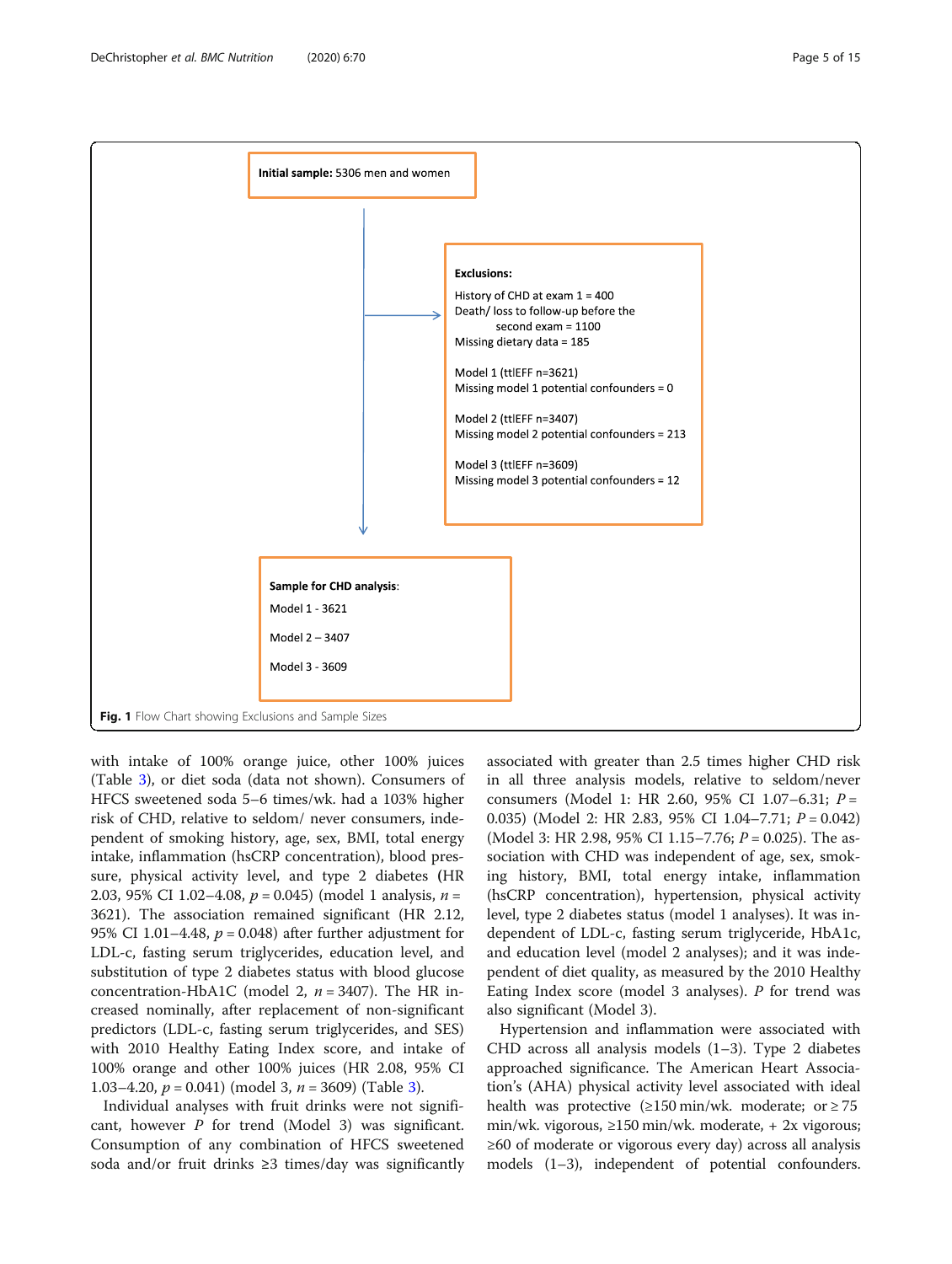<span id="page-4-0"></span>

with intake of 100% orange juice, other 100% juices (Table [3\)](#page-7-0), or diet soda (data not shown). Consumers of HFCS sweetened soda 5–6 times/wk. had a 103% higher risk of CHD, relative to seldom/ never consumers, independent of smoking history, age, sex, BMI, total energy intake, inflammation (hsCRP concentration), blood pressure, physical activity level, and type 2 diabetes (HR 2.03, 95% CI 1.02-4.08,  $p = 0.045$ ) (model 1 analysis,  $n =$ 3621). The association remained significant (HR 2.12, 95% CI 1.01–4.48,  $p = 0.048$ ) after further adjustment for LDL-c, fasting serum triglycerides, education level, and substitution of type 2 diabetes status with blood glucose concentration-HbA1C (model 2,  $n = 3407$ ). The HR increased nominally, after replacement of non-significant predictors (LDL-c, fasting serum triglycerides, and SES) with 2010 Healthy Eating Index score, and intake of 100% orange and other 100% juices (HR 2.08, 95% CI 1.0[3](#page-7-0)–4.20,  $p = 0.041$ ) (model 3,  $n = 3609$ ) (Table 3).

Individual analyses with fruit drinks were not significant, however  $P$  for trend (Model 3) was significant. Consumption of any combination of HFCS sweetened soda and/or fruit drinks ≥3 times/day was significantly

associated with greater than 2.5 times higher CHD risk in all three analysis models, relative to seldom/never consumers (Model 1: HR 2.60, 95% CI 1.07–6.31; P = 0.035) (Model 2: HR 2.83, 95% CI 1.04-7.71;  $P = 0.042$ ) (Model 3: HR 2.98, 95% CI 1.15–7.76;  $P = 0.025$ ). The association with CHD was independent of age, sex, smoking history, BMI, total energy intake, inflammation (hsCRP concentration), hypertension, physical activity level, type 2 diabetes status (model 1 analyses). It was independent of LDL-c, fasting serum triglyceride, HbA1c, and education level (model 2 analyses); and it was independent of diet quality, as measured by the 2010 Healthy Eating Index score (model 3 analyses).  $P$  for trend was also significant (Model 3).

Hypertension and inflammation were associated with CHD across all analysis models (1–3). Type 2 diabetes approached significance. The American Heart Association's (AHA) physical activity level associated with ideal health was protective  $(≥150 min/wk.$  moderate; or  $≥ 75$ min/wk. vigorous, ≥150 min/wk. moderate, + 2x vigorous; ≥60 of moderate or vigorous every day) across all analysis models (1–3), independent of potential confounders.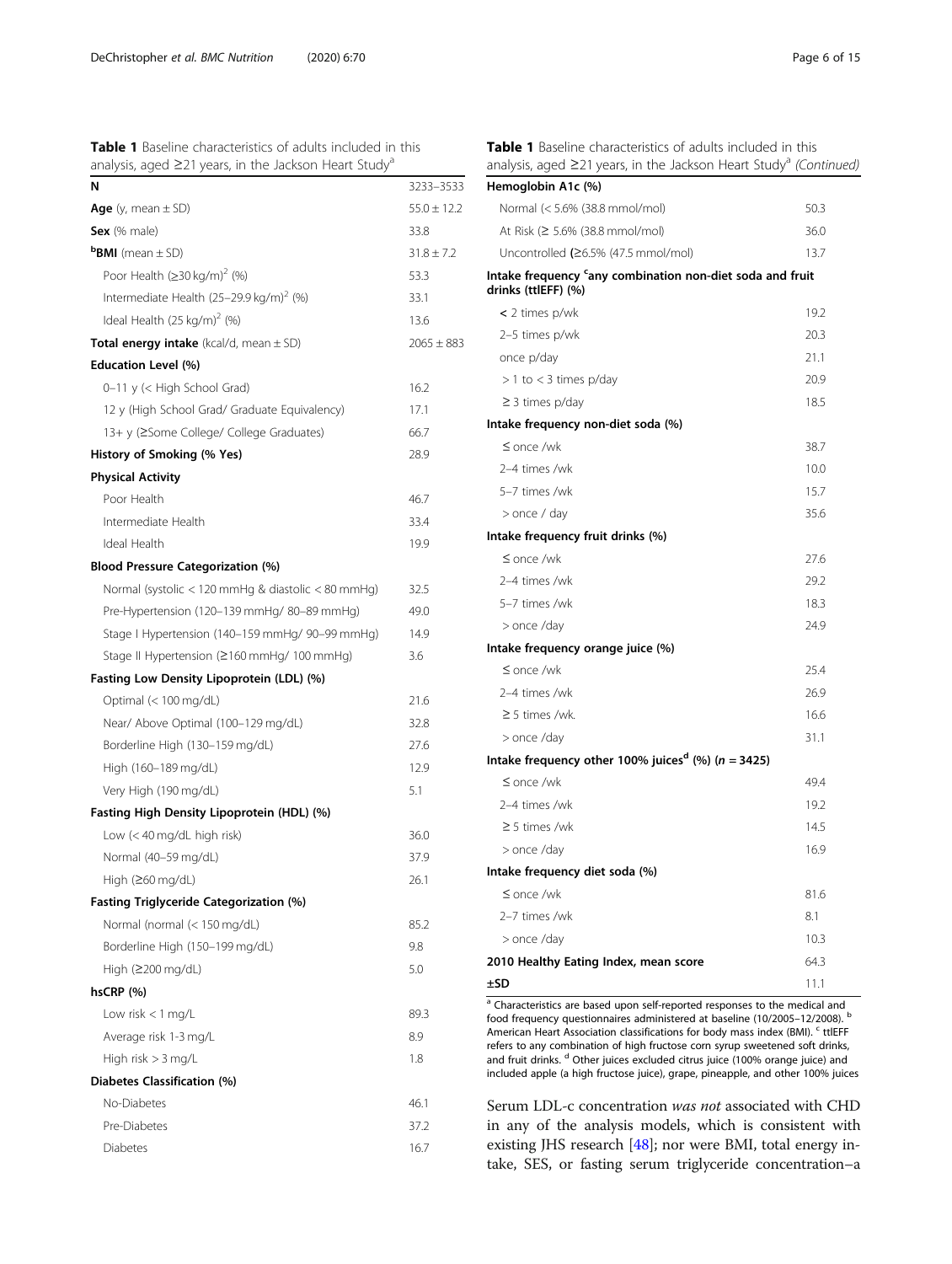<span id="page-5-0"></span>

| <b>Table 1</b> Baseline characteristics of adults included in this      |  |  |  |  |
|-------------------------------------------------------------------------|--|--|--|--|
| analysis, aged $\geq$ 21 years, in the Jackson Heart Study <sup>a</sup> |  |  |  |  |

| N                                                   | 3233-3533       |
|-----------------------------------------------------|-----------------|
| Age (y, mean $\pm$ SD)                              | $55.0 \pm 12.2$ |
| Sex (% male)                                        | 33.8            |
| <b>BMI</b> (mean $\pm$ SD)                          | $31.8 \pm 7.2$  |
| Poor Health (≥30 kg/m) <sup>2</sup> (%)             | 53.3            |
| Intermediate Health (25-29.9 kg/m) <sup>2</sup> (%) | 33.1            |
| Ideal Health $(25 \text{ kg/m})^2$ (%)              | 13.6            |
| Total energy intake (kcal/d, mean $\pm$ SD)         | $2065 \pm 883$  |
| <b>Education Level (%)</b>                          |                 |
| 0–11 y (< High School Grad)                         | 16.2            |
| 12 y (High School Grad/ Graduate Equivalency)       | 17.1            |
| 13+ y (≥Some College/ College Graduates)            | 66.7            |
| History of Smoking (% Yes)                          | 28.9            |
| <b>Physical Activity</b>                            |                 |
| Poor Health                                         | 46.7            |
| Intermediate Health                                 | 33.4            |
| Ideal Health                                        | 19.9            |
| <b>Blood Pressure Categorization (%)</b>            |                 |
| Normal (systolic < 120 mmHg & diastolic < 80 mmHg)  | 32.5            |
| Pre-Hypertension (120-139 mmHg/80-89 mmHg)          | 49.0            |
| Stage I Hypertension (140-159 mmHg/ 90-99 mmHg)     | 14.9            |
| Stage II Hypertension (≥160 mmHg/ 100 mmHg)         | 3.6             |
| Fasting Low Density Lipoprotein (LDL) (%)           |                 |
| Optimal (< 100 mg/dL)                               | 21.6            |
| Near/ Above Optimal (100–129 mg/dL)                 | 32.8            |
| Borderline High (130-159 mg/dL)                     | 27.6            |
| High (160-189 mg/dL)                                | 12.9            |
| Very High (190 mg/dL)                               | 5.1             |
| Fasting High Density Lipoprotein (HDL) (%)          |                 |
| Low (< 40 mg/dL high risk)                          | 36.0            |
| Normal (40-59 mg/dL)                                | 37.9            |
| High (≥60 mg/dL)                                    | 26.1            |
| <b>Fasting Triglyceride Categorization (%)</b>      |                 |
| Normal (normal (< 150 mg/dL)                        | 85.2            |
| Borderline High (150-199 mg/dL)                     | 9.8             |
| High (≥200 mg/dL)                                   | 5.0             |
| $hscRP$ (%)                                         |                 |
| Low risk $<$ 1 mg/L                                 | 89.3            |
| Average risk 1-3 mg/L                               | 8.9             |
| High risk $>$ 3 mg/L                                | 1.8             |
| Diabetes Classification (%)                         |                 |
| No-Diabetes                                         | 46.1            |
| Pre-Diabetes                                        | 37.2            |
| Diabetes                                            | 16.7            |
|                                                     |                 |

Table 1 Baseline characteristics of adults included in this analysis, aged ≥21 years, in the Jackson Heart Study<sup>a</sup> (Continued)

| Hemoglobin A1c (%)                                                               |      |
|----------------------------------------------------------------------------------|------|
| Normal (< 5.6% (38.8 mmol/mol)                                                   | 50.3 |
| At Risk (≥ 5.6% (38.8 mmol/mol)                                                  | 36.0 |
| Uncontrolled $(26.5\%$ (47.5 mmol/mol)                                           | 13.7 |
| Intake frequency 'any combination non-diet soda and fruit<br>drinks (ttlEFF) (%) |      |
| $<$ 2 times p/wk                                                                 | 19.2 |
| 2-5 times p/wk                                                                   | 20.3 |
| once p/day                                                                       | 21.1 |
| $> 1$ to < 3 times p/day                                                         | 20.9 |
| $\geq$ 3 times p/day                                                             | 18.5 |
| Intake frequency non-diet soda (%)                                               |      |
| $\leq$ once /wk                                                                  | 38.7 |
| 2-4 times /wk                                                                    | 10.0 |
| 5-7 times /wk                                                                    | 15.7 |
| > once / day                                                                     | 35.6 |
| Intake frequency fruit drinks (%)                                                |      |
| $\leq$ once /wk                                                                  | 27.6 |
| 2-4 times /wk                                                                    | 29.2 |
| 5-7 times /wk                                                                    | 18.3 |
| > once /day                                                                      | 24.9 |
| Intake frequency orange juice (%)                                                |      |
| $\leq$ once /wk                                                                  | 25.4 |
| 2-4 times /wk                                                                    | 26.9 |
| $\geq$ 5 times /wk.                                                              | 16.6 |
| > once /day                                                                      | 31.1 |
| Intake frequency other 100% juices <sup>d</sup> (%) ( $n = 3425$ )               |      |
| $\leq$ once /wk                                                                  | 49.4 |
| 2-4 times /wk                                                                    | 19.2 |
| $\geq$ 5 times /wk                                                               | 14.5 |
| > once /day                                                                      | 16.9 |
| Intake frequency diet soda (%)                                                   |      |
| $\leq$ once /wk                                                                  | 81.6 |
| 2-7 times /wk                                                                    | 8.1  |
| > once /day                                                                      | 10.3 |
| 2010 Healthy Eating Index, mean score                                            | 64.3 |
| ±SD                                                                              | 11.1 |

 $\overline{a}$  Characteristics are based upon self-reported responses to the medical and food frequency questionnaires administered at baseline (10/2005–12/2008). <sup>b</sup> American Heart Association classifications for body mass index (BMI). <sup>c</sup> ttlEFF refers to any combination of high fructose corn syrup sweetened soft drinks, and fruit drinks. <sup>d</sup> Other juices excluded citrus juice (100% orange juice) and included apple (a high fructose juice), grape, pineapple, and other 100% juices

Serum LDL-c concentration was not associated with CHD in any of the analysis models, which is consistent with existing JHS research [[48](#page-12-0)]; nor were BMI, total energy intake, SES, or fasting serum triglyceride concentration–a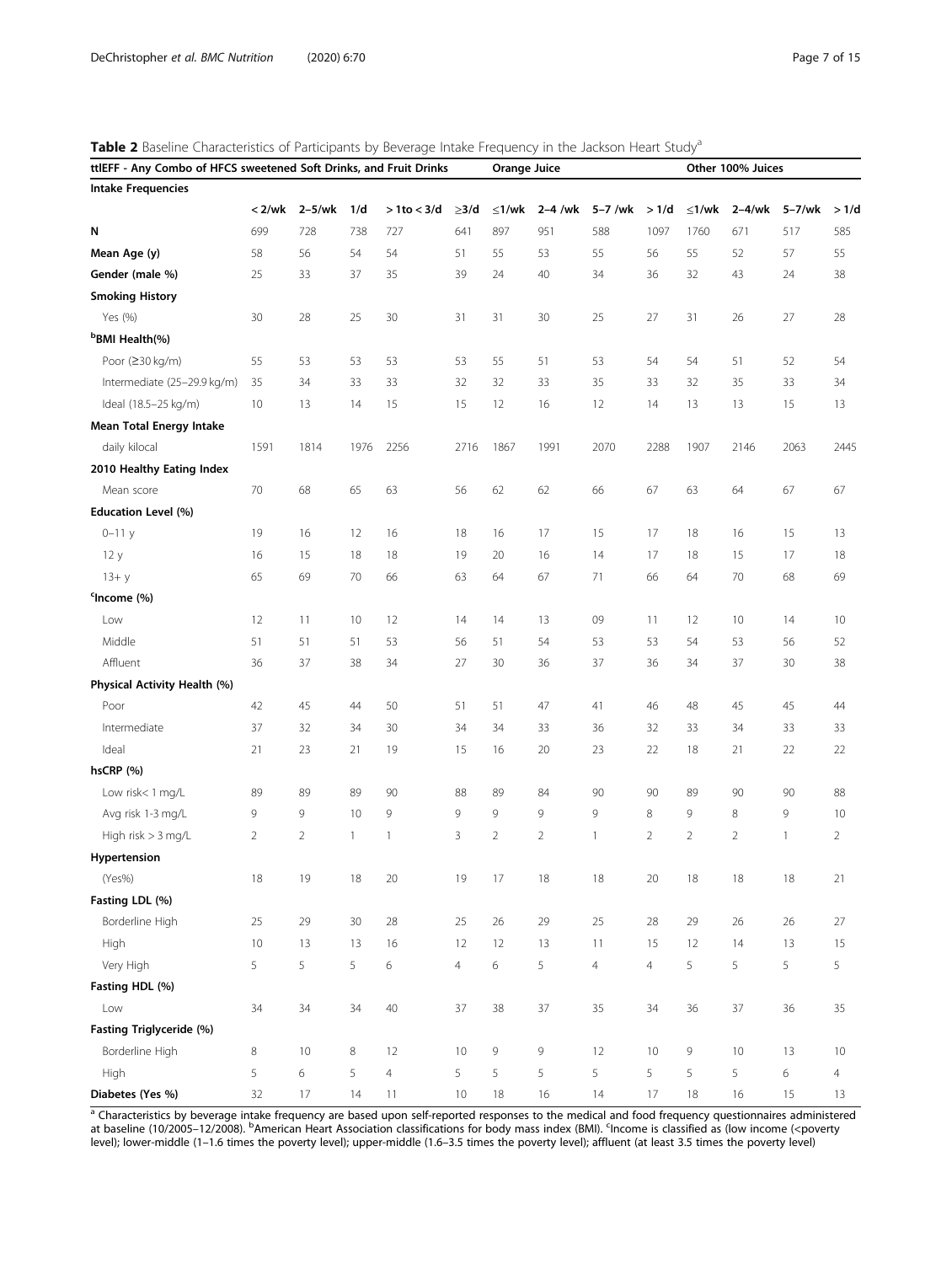<span id="page-6-0"></span>Table 2 Baseline Characteristics of Participants by Beverage Intake Frequency in the Jackson Heart Study<sup>a</sup>

| <b>Intake Frequencies</b><br>$2-5/wk$<br>$\leq 1/wk$<br>$< 2$ /wk<br>1/d<br>$> 1$ to < 3/d<br>$\geq$ 3/d<br>$\leq$ 1/wk<br>$2-4$ /wk<br>5-7 /wk<br>>1/d<br>$2-4/wk$<br>5-7/wk<br>>1/d<br>N<br>699<br>728<br>738<br>727<br>641<br>897<br>951<br>588<br>1097<br>1760<br>671<br>517<br>585<br>Mean Age (y)<br>58<br>56<br>54<br>54<br>51<br>55<br>53<br>55<br>56<br>55<br>52<br>57<br>55<br>Gender (male %)<br>25<br>33<br>37<br>35<br>39<br>40<br>36<br>32<br>43<br>38<br>24<br>34<br>24<br><b>Smoking History</b><br>25<br>Yes (%)<br>30<br>28<br>25<br>30<br>31<br>31<br>30<br>27<br>31<br>26<br>27<br>28<br><sup>b</sup> BMI Health(%)<br>Poor (≥30 kg/m)<br>55<br>53<br>53<br>53<br>53<br>55<br>51<br>53<br>54<br>52<br>54<br>54<br>51<br>Intermediate (25-29.9 kg/m)<br>35<br>33<br>33<br>32<br>32<br>33<br>35<br>32<br>35<br>33<br>34<br>33<br>34<br>Ideal (18.5-25 kg/m)<br>10<br>15<br>12<br>12<br>13<br>15<br>13<br>14<br>15<br>16<br>14<br>13<br>13<br><b>Mean Total Energy Intake</b><br>daily kilocal<br>1591<br>1976<br>2256<br>2716<br>1867<br>1991<br>2070<br>2288<br>1907<br>2063<br>2445<br>1814<br>2146<br>2010 Healthy Eating Index<br>70<br>68<br>65<br>63<br>56<br>62<br>62<br>66<br>67<br>63<br>64<br>67<br>67<br>Mean score<br>Education Level (%)<br>19<br>12<br>18<br>16<br>17<br>15<br>17<br>18<br>15<br>$0 - 11y$<br>16<br>16<br>16<br>13<br>15<br>18<br>18<br>19<br>20<br>16<br>15<br>17<br>12y<br>16<br>14<br>17<br>18<br>18<br>69<br>70<br>63<br>64<br>67<br>71<br>70<br>68<br>$13 + y$<br>65<br>66<br>66<br>64<br>69<br><sup>c</sup> Income (%)<br>12<br>09<br>12<br>10<br>Low<br>12<br>11<br>10<br>14<br>14<br>13<br>11<br>14<br>10 |
|-------------------------------------------------------------------------------------------------------------------------------------------------------------------------------------------------------------------------------------------------------------------------------------------------------------------------------------------------------------------------------------------------------------------------------------------------------------------------------------------------------------------------------------------------------------------------------------------------------------------------------------------------------------------------------------------------------------------------------------------------------------------------------------------------------------------------------------------------------------------------------------------------------------------------------------------------------------------------------------------------------------------------------------------------------------------------------------------------------------------------------------------------------------------------------------------------------------------------------------------------------------------------------------------------------------------------------------------------------------------------------------------------------------------------------------------------------------------------------------------------------------------------------------------------------------------------------------------------------------------------------------------------------------------|
|                                                                                                                                                                                                                                                                                                                                                                                                                                                                                                                                                                                                                                                                                                                                                                                                                                                                                                                                                                                                                                                                                                                                                                                                                                                                                                                                                                                                                                                                                                                                                                                                                                                                   |
|                                                                                                                                                                                                                                                                                                                                                                                                                                                                                                                                                                                                                                                                                                                                                                                                                                                                                                                                                                                                                                                                                                                                                                                                                                                                                                                                                                                                                                                                                                                                                                                                                                                                   |
|                                                                                                                                                                                                                                                                                                                                                                                                                                                                                                                                                                                                                                                                                                                                                                                                                                                                                                                                                                                                                                                                                                                                                                                                                                                                                                                                                                                                                                                                                                                                                                                                                                                                   |
|                                                                                                                                                                                                                                                                                                                                                                                                                                                                                                                                                                                                                                                                                                                                                                                                                                                                                                                                                                                                                                                                                                                                                                                                                                                                                                                                                                                                                                                                                                                                                                                                                                                                   |
|                                                                                                                                                                                                                                                                                                                                                                                                                                                                                                                                                                                                                                                                                                                                                                                                                                                                                                                                                                                                                                                                                                                                                                                                                                                                                                                                                                                                                                                                                                                                                                                                                                                                   |
|                                                                                                                                                                                                                                                                                                                                                                                                                                                                                                                                                                                                                                                                                                                                                                                                                                                                                                                                                                                                                                                                                                                                                                                                                                                                                                                                                                                                                                                                                                                                                                                                                                                                   |
|                                                                                                                                                                                                                                                                                                                                                                                                                                                                                                                                                                                                                                                                                                                                                                                                                                                                                                                                                                                                                                                                                                                                                                                                                                                                                                                                                                                                                                                                                                                                                                                                                                                                   |
|                                                                                                                                                                                                                                                                                                                                                                                                                                                                                                                                                                                                                                                                                                                                                                                                                                                                                                                                                                                                                                                                                                                                                                                                                                                                                                                                                                                                                                                                                                                                                                                                                                                                   |
|                                                                                                                                                                                                                                                                                                                                                                                                                                                                                                                                                                                                                                                                                                                                                                                                                                                                                                                                                                                                                                                                                                                                                                                                                                                                                                                                                                                                                                                                                                                                                                                                                                                                   |
|                                                                                                                                                                                                                                                                                                                                                                                                                                                                                                                                                                                                                                                                                                                                                                                                                                                                                                                                                                                                                                                                                                                                                                                                                                                                                                                                                                                                                                                                                                                                                                                                                                                                   |
|                                                                                                                                                                                                                                                                                                                                                                                                                                                                                                                                                                                                                                                                                                                                                                                                                                                                                                                                                                                                                                                                                                                                                                                                                                                                                                                                                                                                                                                                                                                                                                                                                                                                   |
|                                                                                                                                                                                                                                                                                                                                                                                                                                                                                                                                                                                                                                                                                                                                                                                                                                                                                                                                                                                                                                                                                                                                                                                                                                                                                                                                                                                                                                                                                                                                                                                                                                                                   |
|                                                                                                                                                                                                                                                                                                                                                                                                                                                                                                                                                                                                                                                                                                                                                                                                                                                                                                                                                                                                                                                                                                                                                                                                                                                                                                                                                                                                                                                                                                                                                                                                                                                                   |
|                                                                                                                                                                                                                                                                                                                                                                                                                                                                                                                                                                                                                                                                                                                                                                                                                                                                                                                                                                                                                                                                                                                                                                                                                                                                                                                                                                                                                                                                                                                                                                                                                                                                   |
|                                                                                                                                                                                                                                                                                                                                                                                                                                                                                                                                                                                                                                                                                                                                                                                                                                                                                                                                                                                                                                                                                                                                                                                                                                                                                                                                                                                                                                                                                                                                                                                                                                                                   |
|                                                                                                                                                                                                                                                                                                                                                                                                                                                                                                                                                                                                                                                                                                                                                                                                                                                                                                                                                                                                                                                                                                                                                                                                                                                                                                                                                                                                                                                                                                                                                                                                                                                                   |
|                                                                                                                                                                                                                                                                                                                                                                                                                                                                                                                                                                                                                                                                                                                                                                                                                                                                                                                                                                                                                                                                                                                                                                                                                                                                                                                                                                                                                                                                                                                                                                                                                                                                   |
|                                                                                                                                                                                                                                                                                                                                                                                                                                                                                                                                                                                                                                                                                                                                                                                                                                                                                                                                                                                                                                                                                                                                                                                                                                                                                                                                                                                                                                                                                                                                                                                                                                                                   |
|                                                                                                                                                                                                                                                                                                                                                                                                                                                                                                                                                                                                                                                                                                                                                                                                                                                                                                                                                                                                                                                                                                                                                                                                                                                                                                                                                                                                                                                                                                                                                                                                                                                                   |
|                                                                                                                                                                                                                                                                                                                                                                                                                                                                                                                                                                                                                                                                                                                                                                                                                                                                                                                                                                                                                                                                                                                                                                                                                                                                                                                                                                                                                                                                                                                                                                                                                                                                   |
|                                                                                                                                                                                                                                                                                                                                                                                                                                                                                                                                                                                                                                                                                                                                                                                                                                                                                                                                                                                                                                                                                                                                                                                                                                                                                                                                                                                                                                                                                                                                                                                                                                                                   |
| Middle<br>51<br>53<br>56<br>51<br>54<br>53<br>53<br>56<br>52<br>51<br>51<br>53<br>54                                                                                                                                                                                                                                                                                                                                                                                                                                                                                                                                                                                                                                                                                                                                                                                                                                                                                                                                                                                                                                                                                                                                                                                                                                                                                                                                                                                                                                                                                                                                                                              |
| Affluent<br>37<br>38<br>27<br>30<br>37<br>37<br>38<br>36<br>34<br>36<br>36<br>34<br>30                                                                                                                                                                                                                                                                                                                                                                                                                                                                                                                                                                                                                                                                                                                                                                                                                                                                                                                                                                                                                                                                                                                                                                                                                                                                                                                                                                                                                                                                                                                                                                            |
| Physical Activity Health (%)                                                                                                                                                                                                                                                                                                                                                                                                                                                                                                                                                                                                                                                                                                                                                                                                                                                                                                                                                                                                                                                                                                                                                                                                                                                                                                                                                                                                                                                                                                                                                                                                                                      |
| 42<br>45<br>50<br>51<br>51<br>47<br>41<br>48<br>45<br>45<br>Poor<br>44<br>46<br>44                                                                                                                                                                                                                                                                                                                                                                                                                                                                                                                                                                                                                                                                                                                                                                                                                                                                                                                                                                                                                                                                                                                                                                                                                                                                                                                                                                                                                                                                                                                                                                                |
| Intermediate<br>37<br>32<br>34<br>30<br>34<br>36<br>34<br>33<br>34<br>33<br>32<br>33<br>33                                                                                                                                                                                                                                                                                                                                                                                                                                                                                                                                                                                                                                                                                                                                                                                                                                                                                                                                                                                                                                                                                                                                                                                                                                                                                                                                                                                                                                                                                                                                                                        |
| Ideal<br>23<br>21<br>19<br>15<br>20<br>23<br>22<br>18<br>22<br>22<br>21<br>16<br>21                                                                                                                                                                                                                                                                                                                                                                                                                                                                                                                                                                                                                                                                                                                                                                                                                                                                                                                                                                                                                                                                                                                                                                                                                                                                                                                                                                                                                                                                                                                                                                               |
| hsCRP (%)                                                                                                                                                                                                                                                                                                                                                                                                                                                                                                                                                                                                                                                                                                                                                                                                                                                                                                                                                                                                                                                                                                                                                                                                                                                                                                                                                                                                                                                                                                                                                                                                                                                         |
| Low risk<1 mg/L<br>89<br>88<br>89<br>90<br>90<br>90<br>90<br>88<br>89<br>89<br>90<br>84<br>89                                                                                                                                                                                                                                                                                                                                                                                                                                                                                                                                                                                                                                                                                                                                                                                                                                                                                                                                                                                                                                                                                                                                                                                                                                                                                                                                                                                                                                                                                                                                                                     |
| 9<br>9<br>9<br>9<br>9<br>Avg risk 1-3 mg/L<br>9<br>9<br>10<br>8<br>9<br>8<br>9<br>10                                                                                                                                                                                                                                                                                                                                                                                                                                                                                                                                                                                                                                                                                                                                                                                                                                                                                                                                                                                                                                                                                                                                                                                                                                                                                                                                                                                                                                                                                                                                                                              |
| $\overline{2}$<br>$\overline{2}$<br>High risk > 3 mg/L<br>$\overline{2}$<br>2<br>3<br>$\overline{2}$<br>$\mathbf{1}$<br>$\overline{2}$<br>$\overline{2}$<br>2<br>1<br>1<br>1                                                                                                                                                                                                                                                                                                                                                                                                                                                                                                                                                                                                                                                                                                                                                                                                                                                                                                                                                                                                                                                                                                                                                                                                                                                                                                                                                                                                                                                                                      |
| Hypertension                                                                                                                                                                                                                                                                                                                                                                                                                                                                                                                                                                                                                                                                                                                                                                                                                                                                                                                                                                                                                                                                                                                                                                                                                                                                                                                                                                                                                                                                                                                                                                                                                                                      |
| (Yes%)<br>18<br>19<br>18<br>20<br>19<br>17<br>18<br>18<br>20<br>18<br>18<br>18<br>21                                                                                                                                                                                                                                                                                                                                                                                                                                                                                                                                                                                                                                                                                                                                                                                                                                                                                                                                                                                                                                                                                                                                                                                                                                                                                                                                                                                                                                                                                                                                                                              |
| Fasting LDL (%)                                                                                                                                                                                                                                                                                                                                                                                                                                                                                                                                                                                                                                                                                                                                                                                                                                                                                                                                                                                                                                                                                                                                                                                                                                                                                                                                                                                                                                                                                                                                                                                                                                                   |
| Borderline High<br>25<br>28<br>25<br>$26\,$<br>25<br>29<br>30<br>29<br>28<br>29<br>26<br>26<br>27                                                                                                                                                                                                                                                                                                                                                                                                                                                                                                                                                                                                                                                                                                                                                                                                                                                                                                                                                                                                                                                                                                                                                                                                                                                                                                                                                                                                                                                                                                                                                                 |
| High<br>10<br>12<br>13<br>13<br>16<br>12<br>13<br>11<br>15<br>12<br>14<br>13<br>15                                                                                                                                                                                                                                                                                                                                                                                                                                                                                                                                                                                                                                                                                                                                                                                                                                                                                                                                                                                                                                                                                                                                                                                                                                                                                                                                                                                                                                                                                                                                                                                |
| Very High<br>5<br>5<br>5<br>6<br>$\overline{4}$<br>5<br>5<br>5<br>5<br>5<br>6<br>$\overline{4}$<br>$\overline{4}$                                                                                                                                                                                                                                                                                                                                                                                                                                                                                                                                                                                                                                                                                                                                                                                                                                                                                                                                                                                                                                                                                                                                                                                                                                                                                                                                                                                                                                                                                                                                                 |
| Fasting HDL (%)                                                                                                                                                                                                                                                                                                                                                                                                                                                                                                                                                                                                                                                                                                                                                                                                                                                                                                                                                                                                                                                                                                                                                                                                                                                                                                                                                                                                                                                                                                                                                                                                                                                   |
| Low<br>$37\,$<br>38<br>37<br>34<br>34<br>34<br>40<br>35<br>34<br>36<br>37<br>36<br>35                                                                                                                                                                                                                                                                                                                                                                                                                                                                                                                                                                                                                                                                                                                                                                                                                                                                                                                                                                                                                                                                                                                                                                                                                                                                                                                                                                                                                                                                                                                                                                             |
| Fasting Triglyceride (%)                                                                                                                                                                                                                                                                                                                                                                                                                                                                                                                                                                                                                                                                                                                                                                                                                                                                                                                                                                                                                                                                                                                                                                                                                                                                                                                                                                                                                                                                                                                                                                                                                                          |
| Borderline High<br>10<br>9<br>9<br>12<br>9<br>10<br>8<br>10<br>8<br>12<br>10<br>13<br>10                                                                                                                                                                                                                                                                                                                                                                                                                                                                                                                                                                                                                                                                                                                                                                                                                                                                                                                                                                                                                                                                                                                                                                                                                                                                                                                                                                                                                                                                                                                                                                          |
| High<br>5<br>6<br>5<br>$\overline{4}$<br>5<br>5<br>5<br>5<br>5<br>5<br>5<br>6<br>4                                                                                                                                                                                                                                                                                                                                                                                                                                                                                                                                                                                                                                                                                                                                                                                                                                                                                                                                                                                                                                                                                                                                                                                                                                                                                                                                                                                                                                                                                                                                                                                |
| Diabetes (Yes %)<br>32<br>17<br>$10$<br>17<br>18<br>15<br>14<br>11<br>18<br>16<br>14<br>16<br>13                                                                                                                                                                                                                                                                                                                                                                                                                                                                                                                                                                                                                                                                                                                                                                                                                                                                                                                                                                                                                                                                                                                                                                                                                                                                                                                                                                                                                                                                                                                                                                  |

<sup>a</sup> Characteristics by beverage intake frequency are based upon self-reported responses to the medical and food frequency questionnaires administered at baseline (10/2005–12/2008). <sup>b</sup>American Heart Association classifications for body mass index (BMI). <sup>c</sup>Income is classified as (low income (<poverty level); lower-middle (1–1.6 times the poverty level); upper-middle (1.6–3.5 times the poverty level); affluent (at least 3.5 times the poverty level)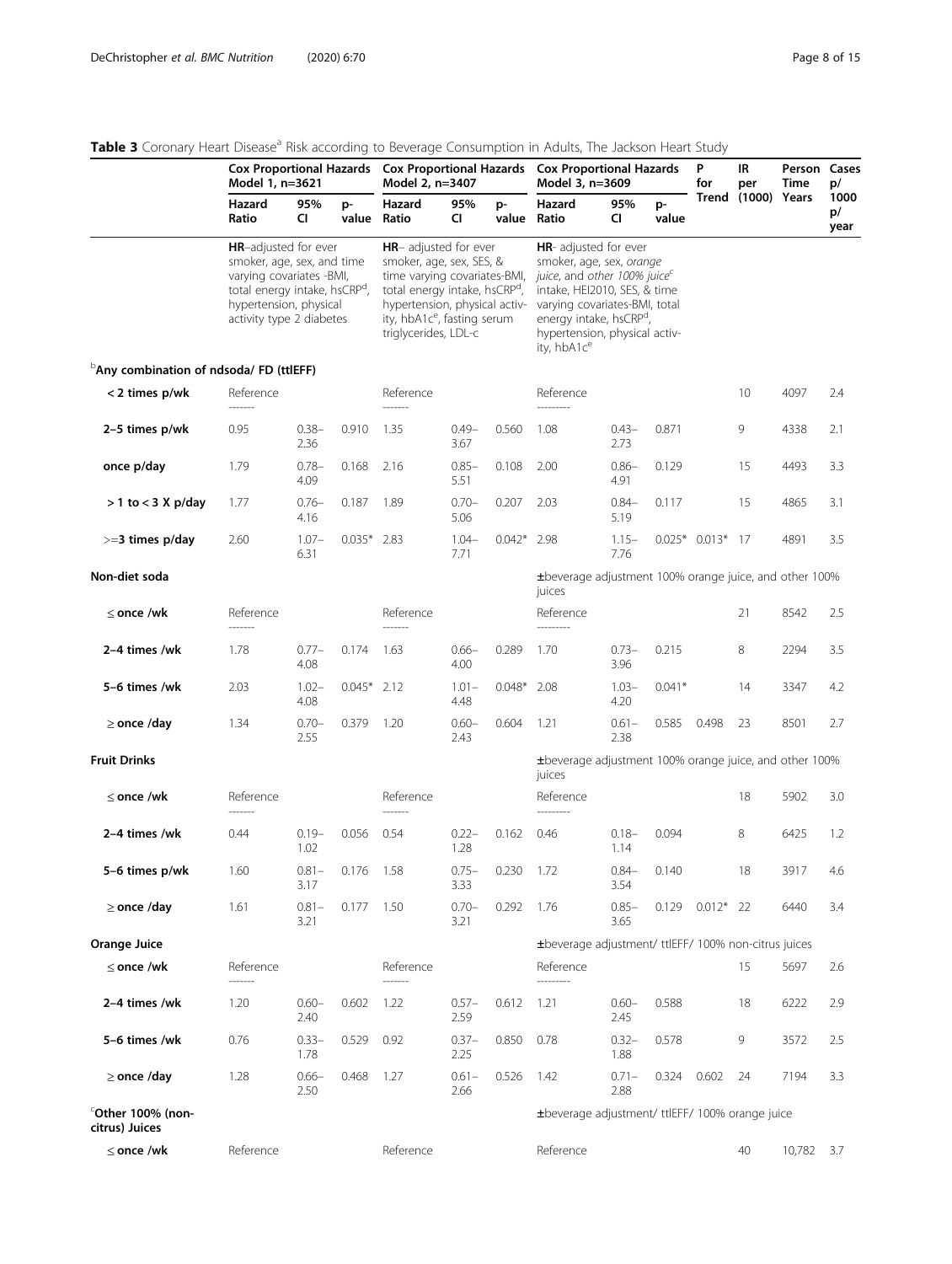## <span id="page-7-0"></span>Table 3 Coronary Heart Disease<sup>a</sup> Risk according to Beverage Consumption in Adults, The Jackson Heart Study

|                                                     | Model 1, n=3621                                                                                                                                                                          |                  |               | Cox Proportional Hazards Cox Proportional Hazards Cox Proportional Hazards<br>Model 2, n=3407                                                                                                                                             |                  |               | Model 3, n=3609                                                                                                                                                                                                                                           | P<br>for         | IR<br>per   | Person Cases<br>Time | p/                 |            |                    |
|-----------------------------------------------------|------------------------------------------------------------------------------------------------------------------------------------------------------------------------------------------|------------------|---------------|-------------------------------------------------------------------------------------------------------------------------------------------------------------------------------------------------------------------------------------------|------------------|---------------|-----------------------------------------------------------------------------------------------------------------------------------------------------------------------------------------------------------------------------------------------------------|------------------|-------------|----------------------|--------------------|------------|--------------------|
|                                                     | Hazard<br>Ratio                                                                                                                                                                          | 95%<br>CI        | p-            | Hazard<br>value Ratio                                                                                                                                                                                                                     | 95%<br>CI.       | p-            | Hazard<br>value Ratio                                                                                                                                                                                                                                     | 95%<br>CI.       | p-<br>value |                      | Trend (1000) Years |            | 1000<br>p/<br>year |
|                                                     | <b>HR-adjusted for ever</b><br>smoker, age, sex, and time<br>varying covariates -BMI,<br>total energy intake, hsCRP <sup>d</sup> ,<br>hypertension, physical<br>activity type 2 diabetes |                  |               | <b>HR-</b> adjusted for ever<br>smoker, age, sex, SES, &<br>time varying covariates-BMI,<br>total energy intake, hsCRP <sup>d</sup> ,<br>hypertension, physical activ-<br>ity, hbA1c <sup>e</sup> , fasting serum<br>triglycerides, LDL-c |                  |               | <b>HR-</b> adjusted for ever<br>smoker, age, sex, orange<br>juice, and other 100% juice<br>intake, HEI2010, SES, & time<br>varying covariates-BMI, total<br>energy intake, hsCRP <sup>d</sup><br>hypertension, physical activ-<br>ity, hbA1c <sup>e</sup> |                  |             |                      |                    |            |                    |
| <sup>b</sup> Any combination of ndsoda/ FD (ttlEFF) |                                                                                                                                                                                          |                  |               |                                                                                                                                                                                                                                           |                  |               |                                                                                                                                                                                                                                                           |                  |             |                      |                    |            |                    |
| < 2 times p/wk                                      | Reference                                                                                                                                                                                |                  |               | Reference                                                                                                                                                                                                                                 |                  |               | Reference                                                                                                                                                                                                                                                 |                  |             |                      | 10                 | 4097       | 2.4                |
| 2-5 times p/wk                                      | 0.95                                                                                                                                                                                     | $0.38 -$<br>2.36 | 0.910         | 1.35                                                                                                                                                                                                                                      | $0.49 -$<br>3.67 | 0.560         | 1.08                                                                                                                                                                                                                                                      | $0.43 -$<br>2.73 | 0.871       |                      | 9                  | 4338       | 2.1                |
| once p/day                                          | 1.79                                                                                                                                                                                     | $0.78 -$<br>4.09 | 0.168         | 2.16                                                                                                                                                                                                                                      | $0.85 -$<br>5.51 | 0.108         | 2.00                                                                                                                                                                                                                                                      | $0.86 -$<br>4.91 | 0.129       |                      | 15                 | 4493       | 3.3                |
| $>$ 1 to $<$ 3 X p/day                              | 1.77                                                                                                                                                                                     | $0.76 -$<br>4.16 | 0.187         | 1.89                                                                                                                                                                                                                                      | $0.70 -$<br>5.06 | 0.207         | 2.03                                                                                                                                                                                                                                                      | $0.84 -$<br>5.19 | 0.117       |                      | 15                 | 4865       | 3.1                |
| $>=$ 3 times p/day                                  | 2.60                                                                                                                                                                                     | $1.07 -$<br>6.31 | $0.035*$ 2.83 |                                                                                                                                                                                                                                           | $1.04 -$<br>7.71 | $0.042*$ 2.98 |                                                                                                                                                                                                                                                           | $1.15-$<br>7.76  |             | $0.025*0.013*17$     |                    | 4891       | 3.5                |
| Non-diet soda                                       |                                                                                                                                                                                          |                  |               |                                                                                                                                                                                                                                           |                  |               | ±beverage adjustment 100% orange juice, and other 100%<br>juices                                                                                                                                                                                          |                  |             |                      |                    |            |                    |
| $\leq$ once /wk                                     | Reference<br>-------                                                                                                                                                                     |                  |               | Reference<br>------                                                                                                                                                                                                                       |                  |               | Reference<br>---------                                                                                                                                                                                                                                    |                  |             |                      | 21                 | 8542       | 2.5                |
| 2-4 times /wk                                       | 1.78                                                                                                                                                                                     | $0.77 -$<br>4.08 | 0.174         | 1.63                                                                                                                                                                                                                                      | $0.66-$<br>4.00  | 0.289         | 1.70                                                                                                                                                                                                                                                      | $0.73 -$<br>3.96 | 0.215       |                      | 8                  | 2294       | 3.5                |
| 5-6 times /wk                                       | 2.03                                                                                                                                                                                     | $1.02 -$<br>4.08 | $0.045*$      | 2.12                                                                                                                                                                                                                                      | $1.01 -$<br>4.48 | $0.048*$      | 2.08                                                                                                                                                                                                                                                      | $1.03 -$<br>4.20 | $0.041*$    |                      | 14                 | 3347       | 4.2                |
| $\geq$ once /day                                    | 1.34                                                                                                                                                                                     | $0.70 -$<br>2.55 | 0.379         | 1.20                                                                                                                                                                                                                                      | $0.60 -$<br>2.43 | 0.604         | 1.21                                                                                                                                                                                                                                                      | $0.61 -$<br>2.38 | 0.585       | 0.498                | 23                 | 8501       | 2.7                |
| <b>Fruit Drinks</b>                                 |                                                                                                                                                                                          |                  |               |                                                                                                                                                                                                                                           |                  |               | ±beverage adjustment 100% orange juice, and other 100%<br>juices                                                                                                                                                                                          |                  |             |                      |                    |            |                    |
| $\leq$ once /wk                                     | Reference                                                                                                                                                                                |                  |               | Reference                                                                                                                                                                                                                                 |                  |               | Reference                                                                                                                                                                                                                                                 |                  |             |                      | 18                 | 5902       | 3.0                |
| 2-4 times /wk                                       | 0.44                                                                                                                                                                                     | $0.19 -$<br>1.02 | 0.056         | 0.54                                                                                                                                                                                                                                      | $0.22 -$<br>1.28 | 0.162         | 0.46                                                                                                                                                                                                                                                      | $0.18 -$<br>1.14 | 0.094       |                      | 8                  | 6425       | 1.2                |
| 5-6 times p/wk                                      | 1.60                                                                                                                                                                                     | $0.81 -$<br>3.17 | 0.176         | 1.58                                                                                                                                                                                                                                      | $0.75 -$<br>3.33 | 0.230         | 1.72                                                                                                                                                                                                                                                      | $0.84 -$<br>3.54 | 0.140       |                      | 18                 | 3917       | 4.6                |
| $\geq$ once /day                                    | 1.61                                                                                                                                                                                     | $0.81 -$<br>3.21 | 0.177 1.50    |                                                                                                                                                                                                                                           | $0.70 -$<br>3.21 | 0.292         | 1.76                                                                                                                                                                                                                                                      | $0.85 -$<br>3.65 |             | $0.129$ $0.012*$ 22  |                    | 6440       | 3.4                |
| Orange Juice                                        |                                                                                                                                                                                          |                  |               |                                                                                                                                                                                                                                           |                  |               | ±beverage adjustment/ ttlEFF/ 100% non-citrus juices                                                                                                                                                                                                      |                  |             |                      |                    |            |                    |
| $\leq$ once /wk                                     | Reference                                                                                                                                                                                |                  |               | Reference<br>-------                                                                                                                                                                                                                      |                  |               | Reference<br>---------                                                                                                                                                                                                                                    |                  |             |                      | 15                 | 5697       | 2.6                |
| 2-4 times /wk                                       | 1.20                                                                                                                                                                                     | $0.60 -$<br>2.40 | 0.602         | 1.22                                                                                                                                                                                                                                      | $0.57 -$<br>2.59 | 0.612         | 1.21                                                                                                                                                                                                                                                      | $0.60 -$<br>2.45 | 0.588       |                      | 18                 | 6222       | 2.9                |
| 5-6 times /wk                                       | 0.76                                                                                                                                                                                     | $0.33 -$<br>1.78 | 0.529         | 0.92                                                                                                                                                                                                                                      | $0.37 -$<br>2.25 | 0.850         | 0.78                                                                                                                                                                                                                                                      | $0.32 -$<br>1.88 | 0.578       |                      | 9                  | 3572       | 2.5                |
| $\geq$ once /day                                    | 1.28                                                                                                                                                                                     | $0.66 -$<br>2.50 | 0.468         | 1.27                                                                                                                                                                                                                                      | $0.61 -$<br>2.66 | 0.526         | 1.42                                                                                                                                                                                                                                                      | $0.71 -$<br>2.88 | 0.324       | 0.602                | 24                 | 7194       | 3.3                |
| $^\circ$ Other 100% (non-<br>citrus) Juices         |                                                                                                                                                                                          |                  |               |                                                                                                                                                                                                                                           |                  |               | ±beverage adjustment/ ttlEFF/ 100% orange juice                                                                                                                                                                                                           |                  |             |                      |                    |            |                    |
| $\leq$ once /wk                                     | Reference                                                                                                                                                                                |                  |               | Reference                                                                                                                                                                                                                                 |                  |               | Reference                                                                                                                                                                                                                                                 |                  |             |                      | 40                 | 10,782 3.7 |                    |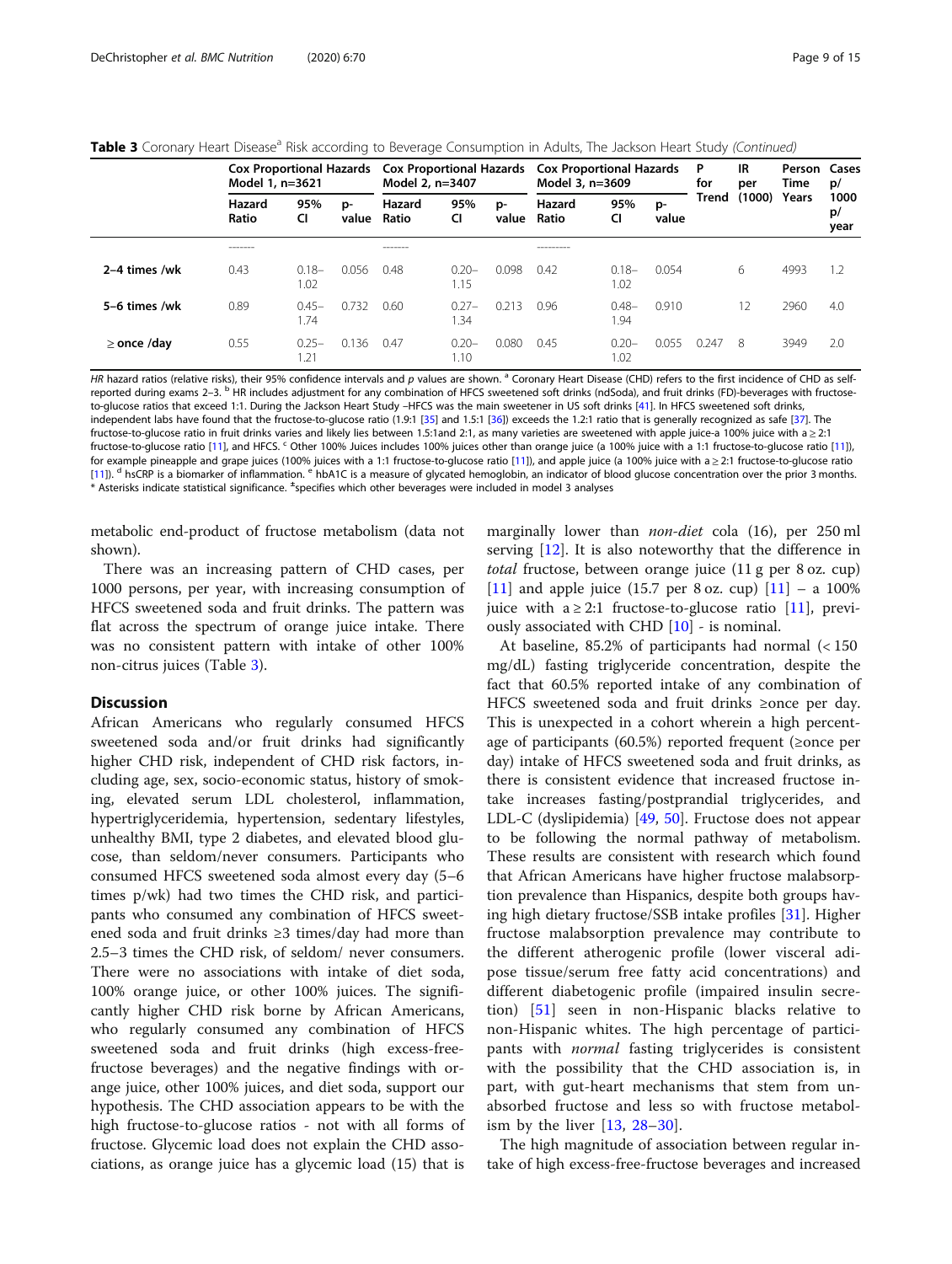Table 3 Coronary Heart Disease<sup>a</sup> Risk according to Beverage Consumption in Adults, The Jackson Heart Study (Continued)

|                  | Model 1, n=3621 |                             |             | Cox Proportional Hazards Cox Proportional Hazards<br>Model 2, n=3407 |                  |             | <b>Cox Proportional Hazards</b><br>Model 3, n=3609 |                  |             | P<br>for | IR<br>per    | Person Cases<br>Time | p/                 |
|------------------|-----------------|-----------------------------|-------------|----------------------------------------------------------------------|------------------|-------------|----------------------------------------------------|------------------|-------------|----------|--------------|----------------------|--------------------|
|                  | Hazard<br>Ratio | 95%<br>CI                   | p-<br>value | Hazard<br>Ratio                                                      | 95%<br>CI        | p-<br>value | Hazard<br>Ratio                                    | 95%<br>CI        | p-<br>value | Trend    | (1000) Years |                      | 1000<br>p/<br>year |
|                  | --------        |                             |             | --------                                                             |                  |             | ----------                                         |                  |             |          |              |                      |                    |
| 2-4 times /wk    | 0.43            | $0.18 -$<br>1.02            | 0.056       | 0.48                                                                 | $0.20 -$<br>1.15 | 0.098       | 0.42                                               | $0.18 -$<br>1.02 | 0.054       |          | 6            | 4993                 | 1.2                |
| 5-6 times /wk    | 0.89            | $0.45-$<br>1.74             | 0.732       | 0.60                                                                 | $0.27-$<br>.34   | 0.213       | 0.96                                               | $0.48 -$<br>1.94 | 0.910       |          | 12           | 2960                 | 4.0                |
| $\geq$ once /day | 0.55            | $0.25 -$<br>$\overline{.2}$ | 0.136       | 0.47                                                                 | $0.20 -$<br>1.10 | 0.080       | 0.45                                               | $0.20 -$<br>1.02 | 0.055       | 0.247    | 8            | 3949                 | 2.0                |

HR hazard ratios (relative risks), their 95% confidence intervals and p values are shown. <sup>a</sup> Coronary Heart Disease (CHD) refers to the first incidence of CHD as selfreported during exams 2–3. <sup>b</sup> HR includes adjustment for any combination of HFCS sweetened soft drinks (ndSoda), and fruit drinks (FD)-beverages with fructoseto-glucose ratios that exceed 1:1. During the Jackson Heart Study –HFCS was the main sweetener in US soft drinks [[41\]](#page-12-0). In HFCS sweetened soft drinks, independent labs have found that the fructose-to-glucose ratio (1.9:1 [\[35](#page-12-0)] and 1.5:1 [\[36](#page-12-0)]) exceeds the 1.2:1 ratio that is generally recognized as safe [[37](#page-12-0)]. The fructose-to-glucose ratio in fruit drinks varies and likely lies between 1.5:1and 2:1, as many varieties are sweetened with apple juice-a 100% juice with a ≥ 2:1 fructose-to-glucose ratio [[11\]](#page-11-0), and HFCS. <sup>c</sup> Other 100% Juices includes 100% juices other than orange juice (a 100% juice with a 1:1 fructose-to-glucose ratio [\[11](#page-11-0)]), for example pineapple and grape juices (100% juices with a 1:1 fructose-to-glucose ratio [\[11](#page-11-0)]), and apple juice (a 100% juice with a ≥ 2:1 fructose-to-glucose ratio [[11\]](#page-11-0)). <sup>d</sup> hsCRP is a biomarker of inflammation. <sup>e</sup> hbA1C is a measure of glycated hemoglobin, an indicator of blood glucose concentration over the prior 3 months. \* Asterisks indicate statistical significance. <sup>±</sup> specifies which other beverages were included in model 3 analyses

metabolic end-product of fructose metabolism (data not shown).

There was an increasing pattern of CHD cases, per 1000 persons, per year, with increasing consumption of HFCS sweetened soda and fruit drinks. The pattern was flat across the spectrum of orange juice intake. There was no consistent pattern with intake of other 100% non-citrus juices (Table [3\)](#page-7-0).

### **Discussion**

African Americans who regularly consumed HFCS sweetened soda and/or fruit drinks had significantly higher CHD risk, independent of CHD risk factors, including age, sex, socio-economic status, history of smoking, elevated serum LDL cholesterol, inflammation, hypertriglyceridemia, hypertension, sedentary lifestyles, unhealthy BMI, type 2 diabetes, and elevated blood glucose, than seldom/never consumers. Participants who consumed HFCS sweetened soda almost every day (5–6 times p/wk) had two times the CHD risk, and participants who consumed any combination of HFCS sweetened soda and fruit drinks ≥3 times/day had more than 2.5–3 times the CHD risk, of seldom/ never consumers. There were no associations with intake of diet soda, 100% orange juice, or other 100% juices. The significantly higher CHD risk borne by African Americans, who regularly consumed any combination of HFCS sweetened soda and fruit drinks (high excess-freefructose beverages) and the negative findings with orange juice, other 100% juices, and diet soda, support our hypothesis. The CHD association appears to be with the high fructose-to-glucose ratios - not with all forms of fructose. Glycemic load does not explain the CHD associations, as orange juice has a glycemic load (15) that is

marginally lower than *non-diet* cola (16), per 250 ml serving [[12\]](#page-11-0). It is also noteworthy that the difference in total fructose, between orange juice (11 g per 8 oz. cup) [[11\]](#page-11-0) and apple juice (15.7 per 8 oz. cup)  $[11]$  – a 100% juice with a  $\geq 2:1$  fructose-to-glucose ratio [\[11](#page-11-0)], previously associated with CHD [\[10](#page-11-0)] - is nominal.

At baseline, 85.2% of participants had normal (< 150 mg/dL) fasting triglyceride concentration, despite the fact that 60.5% reported intake of any combination of HFCS sweetened soda and fruit drinks ≥once per day. This is unexpected in a cohort wherein a high percentage of participants (60.5%) reported frequent (≥once per day) intake of HFCS sweetened soda and fruit drinks, as there is consistent evidence that increased fructose intake increases fasting/postprandial triglycerides, and LDL-C (dyslipidemia) [\[49](#page-12-0), [50](#page-12-0)]. Fructose does not appear to be following the normal pathway of metabolism. These results are consistent with research which found that African Americans have higher fructose malabsorption prevalence than Hispanics, despite both groups having high dietary fructose/SSB intake profiles [[31\]](#page-12-0). Higher fructose malabsorption prevalence may contribute to the different atherogenic profile (lower visceral adipose tissue/serum free fatty acid concentrations) and different diabetogenic profile (impaired insulin secretion) [[51\]](#page-12-0) seen in non-Hispanic blacks relative to non-Hispanic whites. The high percentage of participants with *normal* fasting triglycerides is consistent with the possibility that the CHD association is, in part, with gut-heart mechanisms that stem from unabsorbed fructose and less so with fructose metabolism by the liver [\[13](#page-11-0), [28](#page-12-0)–[30\]](#page-12-0).

The high magnitude of association between regular intake of high excess-free-fructose beverages and increased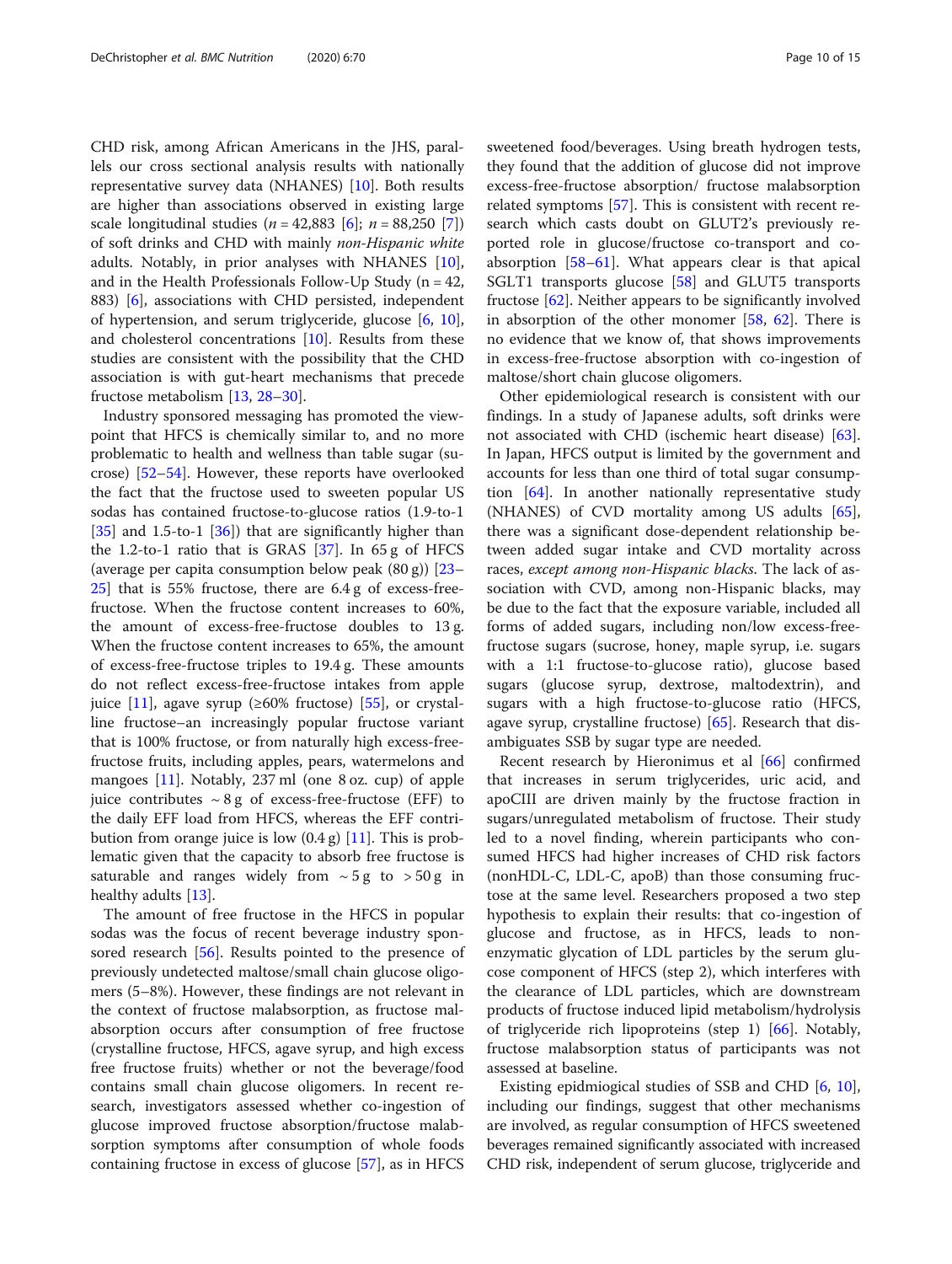CHD risk, among African Americans in the JHS, parallels our cross sectional analysis results with nationally representative survey data (NHANES) [[10\]](#page-11-0). Both results are higher than associations observed in existing large scale longitudinal studies ( $n = 42,883$  [[6\]](#page-11-0);  $n = 88,250$  [\[7](#page-11-0)]) of soft drinks and CHD with mainly non-Hispanic white adults. Notably, in prior analyses with NHANES [\[10](#page-11-0)], and in the Health Professionals Follow-Up Study ( $n = 42$ , 883) [\[6\]](#page-11-0), associations with CHD persisted, independent of hypertension, and serum triglyceride, glucose [\[6](#page-11-0), [10](#page-11-0)], and cholesterol concentrations [[10](#page-11-0)]. Results from these studies are consistent with the possibility that the CHD association is with gut-heart mechanisms that precede fructose metabolism [[13,](#page-11-0) [28](#page-12-0)–[30](#page-12-0)].

Industry sponsored messaging has promoted the viewpoint that HFCS is chemically similar to, and no more problematic to health and wellness than table sugar (sucrose) [\[52](#page-12-0)–[54\]](#page-12-0). However, these reports have overlooked the fact that the fructose used to sweeten popular US sodas has contained fructose-to-glucose ratios (1.9-to-1  $[35]$  $[35]$  and 1.5-to-1  $[36]$  $[36]$ ) that are significantly higher than the 1.2-to-1 ratio that is GRAS  $[37]$  $[37]$ . In 65 g of HFCS (average per capita consumption below peak (80 g)) [[23](#page-11-0)– [25\]](#page-11-0) that is 55% fructose, there are 6.4 g of excess-freefructose. When the fructose content increases to 60%, the amount of excess-free-fructose doubles to 13 g. When the fructose content increases to 65%, the amount of excess-free-fructose triples to 19.4 g. These amounts do not reflect excess-free-fructose intakes from apple juice [\[11\]](#page-11-0), agave syrup ( $\geq 60\%$  fructose) [\[55](#page-12-0)], or crystalline fructose–an increasingly popular fructose variant that is 100% fructose, or from naturally high excess-freefructose fruits, including apples, pears, watermelons and mangoes [\[11\]](#page-11-0). Notably, 237 ml (one 8 oz. cup) of apple juice contributes  $\sim 8 g$  of excess-free-fructose (EFF) to the daily EFF load from HFCS, whereas the EFF contribution from orange juice is low  $(0.4 \text{ g})$  [\[11](#page-11-0)]. This is problematic given that the capacity to absorb free fructose is saturable and ranges widely from  $~5g$  to  $~50g$  in healthy adults [[13\]](#page-11-0).

The amount of free fructose in the HFCS in popular sodas was the focus of recent beverage industry sponsored research [[56\]](#page-12-0). Results pointed to the presence of previously undetected maltose/small chain glucose oligomers (5–8%). However, these findings are not relevant in the context of fructose malabsorption, as fructose malabsorption occurs after consumption of free fructose (crystalline fructose, HFCS, agave syrup, and high excess free fructose fruits) whether or not the beverage/food contains small chain glucose oligomers. In recent research, investigators assessed whether co-ingestion of glucose improved fructose absorption/fructose malabsorption symptoms after consumption of whole foods containing fructose in excess of glucose [[57\]](#page-12-0), as in HFCS sweetened food/beverages. Using breath hydrogen tests, they found that the addition of glucose did not improve excess-free-fructose absorption/ fructose malabsorption related symptoms [[57\]](#page-12-0). This is consistent with recent research which casts doubt on GLUT2's previously reported role in glucose/fructose co-transport and coabsorption [[58](#page-13-0)–[61](#page-13-0)]. What appears clear is that apical SGLT1 transports glucose [\[58](#page-13-0)] and GLUT5 transports fructose [\[62](#page-13-0)]. Neither appears to be significantly involved in absorption of the other monomer  $[58, 62]$  $[58, 62]$  $[58, 62]$  $[58, 62]$ . There is no evidence that we know of, that shows improvements in excess-free-fructose absorption with co-ingestion of maltose/short chain glucose oligomers.

Other epidemiological research is consistent with our findings. In a study of Japanese adults, soft drinks were not associated with CHD (ischemic heart disease) [\[63](#page-13-0)]. In Japan, HFCS output is limited by the government and accounts for less than one third of total sugar consumption [[64\]](#page-13-0). In another nationally representative study (NHANES) of CVD mortality among US adults [\[65](#page-13-0)], there was a significant dose-dependent relationship between added sugar intake and CVD mortality across races, except among non-Hispanic blacks. The lack of association with CVD, among non-Hispanic blacks, may be due to the fact that the exposure variable, included all forms of added sugars, including non/low excess-freefructose sugars (sucrose, honey, maple syrup, i.e. sugars with a 1:1 fructose-to-glucose ratio), glucose based sugars (glucose syrup, dextrose, maltodextrin), and sugars with a high fructose-to-glucose ratio (HFCS, agave syrup, crystalline fructose) [[65](#page-13-0)]. Research that disambiguates SSB by sugar type are needed.

Recent research by Hieronimus et al [[66\]](#page-13-0) confirmed that increases in serum triglycerides, uric acid, and apoCIII are driven mainly by the fructose fraction in sugars/unregulated metabolism of fructose. Their study led to a novel finding, wherein participants who consumed HFCS had higher increases of CHD risk factors (nonHDL-C, LDL-C, apoB) than those consuming fructose at the same level. Researchers proposed a two step hypothesis to explain their results: that co-ingestion of glucose and fructose, as in HFCS, leads to nonenzymatic glycation of LDL particles by the serum glucose component of HFCS (step 2), which interferes with the clearance of LDL particles, which are downstream products of fructose induced lipid metabolism/hydrolysis of triglyceride rich lipoproteins (step 1) [\[66\]](#page-13-0). Notably, fructose malabsorption status of participants was not assessed at baseline.

Existing epidmiogical studies of SSB and CHD [[6,](#page-11-0) [10](#page-11-0)], including our findings, suggest that other mechanisms are involved, as regular consumption of HFCS sweetened beverages remained significantly associated with increased CHD risk, independent of serum glucose, triglyceride and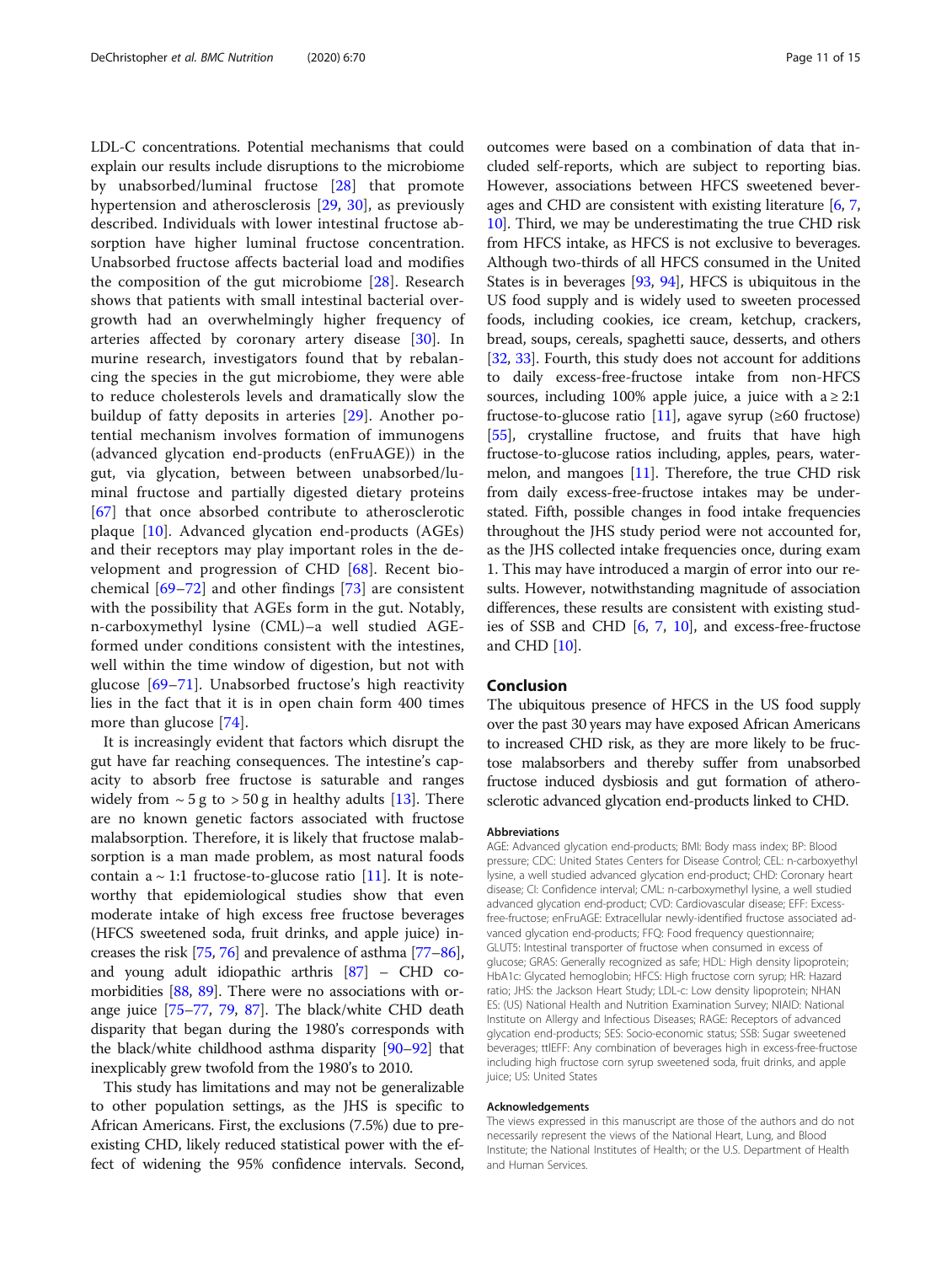LDL-C concentrations. Potential mechanisms that could explain our results include disruptions to the microbiome by unabsorbed/luminal fructose [[28](#page-12-0)] that promote hypertension and atherosclerosis [\[29](#page-12-0), [30](#page-12-0)], as previously described. Individuals with lower intestinal fructose absorption have higher luminal fructose concentration. Unabsorbed fructose affects bacterial load and modifies the composition of the gut microbiome [[28\]](#page-12-0). Research shows that patients with small intestinal bacterial overgrowth had an overwhelmingly higher frequency of arteries affected by coronary artery disease [\[30](#page-12-0)]. In murine research, investigators found that by rebalancing the species in the gut microbiome, they were able to reduce cholesterols levels and dramatically slow the buildup of fatty deposits in arteries [[29\]](#page-12-0). Another potential mechanism involves formation of immunogens (advanced glycation end-products (enFruAGE)) in the gut, via glycation, between between unabsorbed/luminal fructose and partially digested dietary proteins [[67\]](#page-13-0) that once absorbed contribute to atherosclerotic plaque [\[10](#page-11-0)]. Advanced glycation end-products (AGEs) and their receptors may play important roles in the development and progression of CHD [[68\]](#page-13-0). Recent biochemical  $[69-72]$  $[69-72]$  $[69-72]$  $[69-72]$  $[69-72]$  and other findings  $[73]$  $[73]$  $[73]$  are consistent with the possibility that AGEs form in the gut. Notably, n-carboxymethyl lysine (CML)–a well studied AGEformed under conditions consistent with the intestines, well within the time window of digestion, but not with glucose [\[69](#page-13-0)–[71](#page-13-0)]. Unabsorbed fructose's high reactivity lies in the fact that it is in open chain form 400 times more than glucose [[74](#page-13-0)].

It is increasingly evident that factors which disrupt the gut have far reaching consequences. The intestine's capacity to absorb free fructose is saturable and ranges widely from  $\sim$  5 g to  $>$  50 g in healthy adults [[13](#page-11-0)]. There are no known genetic factors associated with fructose malabsorption. Therefore, it is likely that fructose malabsorption is a man made problem, as most natural foods contain a  $\sim$  1:1 fructose-to-glucose ratio [\[11](#page-11-0)]. It is noteworthy that epidemiological studies show that even moderate intake of high excess free fructose beverages (HFCS sweetened soda, fruit drinks, and apple juice) increases the risk [\[75,](#page-13-0) [76](#page-13-0)] and prevalence of asthma [\[77](#page-13-0)–[86](#page-13-0)], and young adult idiopathic arthris [\[87\]](#page-13-0) – CHD comorbidities [[88](#page-13-0), [89\]](#page-13-0). There were no associations with orange juice [[75](#page-13-0)–[77,](#page-13-0) [79,](#page-13-0) [87\]](#page-13-0). The black/white CHD death disparity that began during the 1980's corresponds with the black/white childhood asthma disparity [\[90](#page-14-0)–[92\]](#page-14-0) that inexplicably grew twofold from the 1980's to 2010.

This study has limitations and may not be generalizable to other population settings, as the JHS is specific to African Americans. First, the exclusions (7.5%) due to preexisting CHD, likely reduced statistical power with the effect of widening the 95% confidence intervals. Second, outcomes were based on a combination of data that included self-reports, which are subject to reporting bias. However, associations between HFCS sweetened beverages and CHD are consistent with existing literature  $[6, 7, 7]$  $[6, 7, 7]$  $[6, 7, 7]$  $[6, 7, 7]$  $[6, 7, 7]$ [10](#page-11-0)]. Third, we may be underestimating the true CHD risk from HFCS intake, as HFCS is not exclusive to beverages. Although two-thirds of all HFCS consumed in the United States is in beverages [[93](#page-14-0), [94\]](#page-14-0), HFCS is ubiquitous in the US food supply and is widely used to sweeten processed foods, including cookies, ice cream, ketchup, crackers, bread, soups, cereals, spaghetti sauce, desserts, and others [[32](#page-12-0), [33](#page-12-0)]. Fourth, this study does not account for additions to daily excess-free-fructose intake from non-HFCS sources, including 100% apple juice, a juice with  $a \geq 2:1$ fructose-to-glucose ratio  $[11]$  $[11]$ , agave syrup (≥60 fructose) [[55](#page-12-0)], crystalline fructose, and fruits that have high fructose-to-glucose ratios including, apples, pears, watermelon, and mangoes [\[11](#page-11-0)]. Therefore, the true CHD risk from daily excess-free-fructose intakes may be understated. Fifth, possible changes in food intake frequencies throughout the JHS study period were not accounted for, as the JHS collected intake frequencies once, during exam 1. This may have introduced a margin of error into our results. However, notwithstanding magnitude of association differences, these results are consistent with existing studies of SSB and CHD [\[6,](#page-11-0) [7,](#page-11-0) [10\]](#page-11-0), and excess-free-fructose and CHD [\[10\]](#page-11-0).

### Conclusion

The ubiquitous presence of HFCS in the US food supply over the past 30 years may have exposed African Americans to increased CHD risk, as they are more likely to be fructose malabsorbers and thereby suffer from unabsorbed fructose induced dysbiosis and gut formation of atherosclerotic advanced glycation end-products linked to CHD.

#### Abbreviations

AGE: Advanced glycation end-products; BMI: Body mass index; BP: Blood pressure; CDC: United States Centers for Disease Control; CEL: n-carboxyethyl lysine, a well studied advanced glycation end-product; CHD: Coronary heart disease; CI: Confidence interval; CML: n-carboxymethyl lysine, a well studied advanced glycation end-product; CVD: Cardiovascular disease; EFF: Excessfree-fructose; enFruAGE: Extracellular newly-identified fructose associated advanced glycation end-products; FFQ: Food frequency questionnaire; GLUT5: Intestinal transporter of fructose when consumed in excess of glucose; GRAS: Generally recognized as safe; HDL: High density lipoprotein; HbA1c: Glycated hemoglobin; HFCS: High fructose corn syrup; HR: Hazard ratio; JHS: the Jackson Heart Study; LDL-c: Low density lipoprotein; NHAN ES: (US) National Health and Nutrition Examination Survey; NIAID: National Institute on Allergy and Infectious Diseases; RAGE: Receptors of advanced glycation end-products; SES: Socio-economic status; SSB: Sugar sweetened beverages; ttlEFF: Any combination of beverages high in excess-free-fructose including high fructose corn syrup sweetened soda, fruit drinks, and apple juice; US: United States

#### Acknowledgements

The views expressed in this manuscript are those of the authors and do not necessarily represent the views of the National Heart, Lung, and Blood Institute; the National Institutes of Health; or the U.S. Department of Health and Human Services.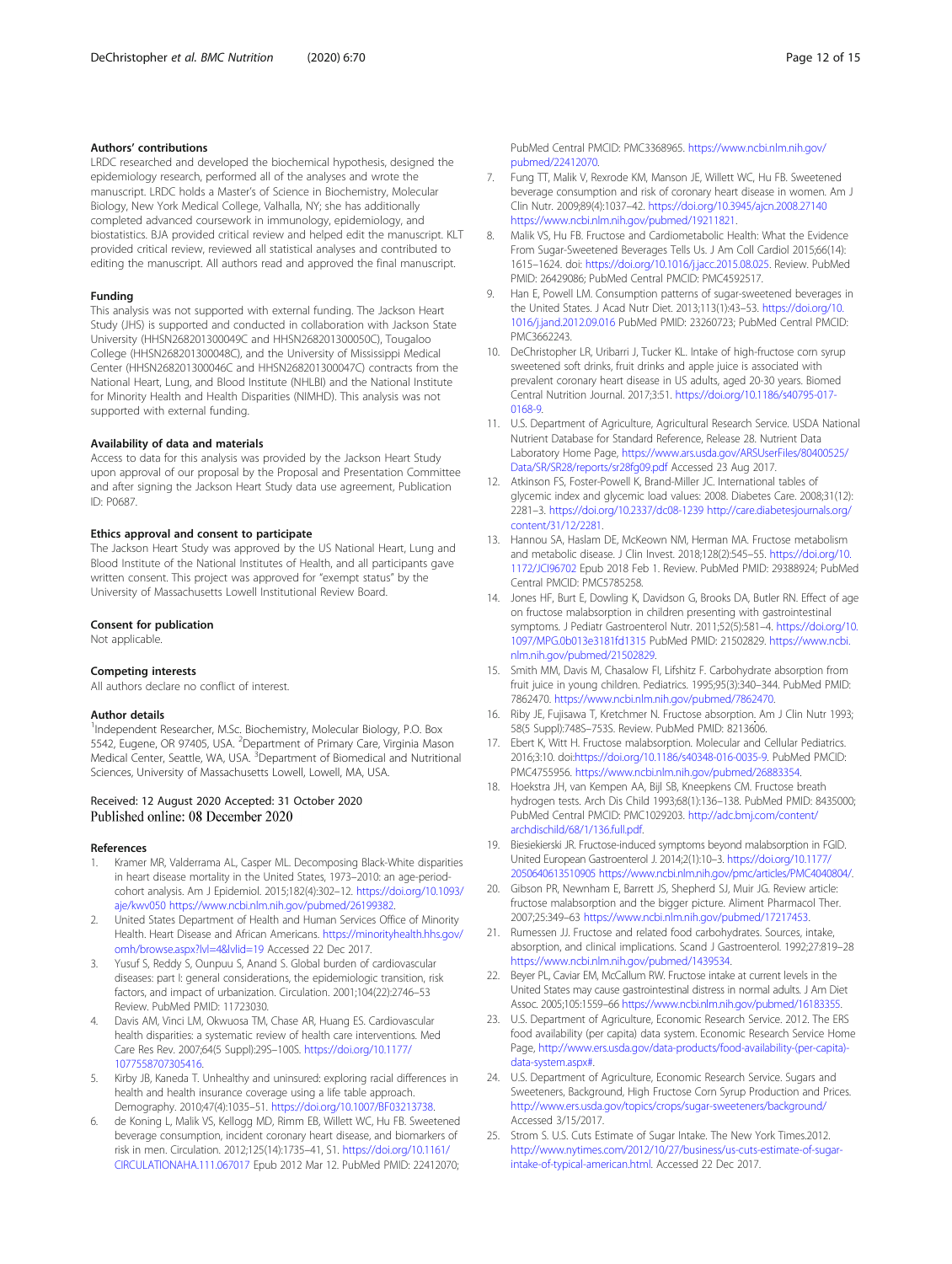### <span id="page-11-0"></span>Authors' contributions

LRDC researched and developed the biochemical hypothesis, designed the epidemiology research, performed all of the analyses and wrote the manuscript. LRDC holds a Master's of Science in Biochemistry, Molecular Biology, New York Medical College, Valhalla, NY; she has additionally completed advanced coursework in immunology, epidemiology, and biostatistics. BJA provided critical review and helped edit the manuscript. KLT provided critical review, reviewed all statistical analyses and contributed to editing the manuscript. All authors read and approved the final manuscript.

#### Funding

This analysis was not supported with external funding. The Jackson Heart Study (JHS) is supported and conducted in collaboration with Jackson State University (HHSN268201300049C and HHSN268201300050C), Tougaloo College (HHSN268201300048C), and the University of Mississippi Medical Center (HHSN268201300046C and HHSN268201300047C) contracts from the National Heart, Lung, and Blood Institute (NHLBI) and the National Institute for Minority Health and Health Disparities (NIMHD). This analysis was not supported with external funding.

#### Availability of data and materials

Access to data for this analysis was provided by the Jackson Heart Study upon approval of our proposal by the Proposal and Presentation Committee and after signing the Jackson Heart Study data use agreement, Publication ID: P0687.

#### Ethics approval and consent to participate

The Jackson Heart Study was approved by the US National Heart, Lung and Blood Institute of the National Institutes of Health, and all participants gave written consent. This project was approved for "exempt status" by the University of Massachusetts Lowell Institutional Review Board.

#### Consent for publication

Not applicable.

#### Competing interests

All authors declare no conflict of interest.

#### Author details

<sup>1</sup>Independent Researcher, M.Sc. Biochemistry, Molecular Biology, P.O. Box 5542, Eugene, OR 97405, USA. <sup>2</sup>Department of Primary Care, Virginia Mason Medical Center, Seattle, WA, USA. <sup>3</sup>Department of Biomedical and Nutritional Sciences, University of Massachusetts Lowell, Lowell, MA, USA.

### Received: 12 August 2020 Accepted: 31 October 2020 Published online: 08 December 2020

### References

- 1. Kramer MR, Valderrama AL, Casper ML. Decomposing Black-White disparities in heart disease mortality in the United States, 1973–2010: an age-periodcohort analysis. Am J Epidemiol. 2015;182(4):302–12. [https://doi.org/10.1093/](https://doi.org/10.1093/aje/kwv050) [aje/kwv050](https://doi.org/10.1093/aje/kwv050)<https://www.ncbi.nlm.nih.gov/pubmed/26199382>.
- 2. United States Department of Health and Human Services Office of Minority Health. Heart Disease and African Americans. [https://minorityhealth.hhs.gov/](https://minorityhealth.hhs.gov/omh/browse.aspx?lvl=4&lvlid=19) [omh/browse.aspx?lvl=4&lvlid=19](https://minorityhealth.hhs.gov/omh/browse.aspx?lvl=4&lvlid=19) Accessed 22 Dec 2017.
- 3. Yusuf S, Reddy S, Ounpuu S, Anand S. Global burden of cardiovascular diseases: part I: general considerations, the epidemiologic transition, risk factors, and impact of urbanization. Circulation. 2001;104(22):2746–53 Review. PubMed PMID: 11723030.
- 4. Davis AM, Vinci LM, Okwuosa TM, Chase AR, Huang ES. Cardiovascular health disparities: a systematic review of health care interventions. Med Care Res Rev. 2007;64(5 Suppl):29S–100S. [https://doi.org/10.1177/](https://doi.org/10.1177/1077558707305416) [1077558707305416](https://doi.org/10.1177/1077558707305416).
- 5. Kirby JB, Kaneda T. Unhealthy and uninsured: exploring racial differences in health and health insurance coverage using a life table approach. Demography. 2010;47(4):1035–51. <https://doi.org/10.1007/BF03213738>.
- 6. de Koning L, Malik VS, Kellogg MD, Rimm EB, Willett WC, Hu FB. Sweetened beverage consumption, incident coronary heart disease, and biomarkers of risk in men. Circulation. 2012;125(14):1735–41, S1. [https://doi.org/10.1161/](https://doi.org/10.1161/CIRCULATIONAHA.111.067017) [CIRCULATIONAHA.111.067017](https://doi.org/10.1161/CIRCULATIONAHA.111.067017) Epub 2012 Mar 12. PubMed PMID: 22412070;

PubMed Central PMCID: PMC3368965. [https://www.ncbi.nlm.nih.gov/](https://www.ncbi.nlm.nih.gov/pubmed/22412070) [pubmed/22412070.](https://www.ncbi.nlm.nih.gov/pubmed/22412070)

- 7. Fung TT, Malik V, Rexrode KM, Manson JE, Willett WC, Hu FB. Sweetened beverage consumption and risk of coronary heart disease in women. Am J Clin Nutr. 2009;89(4):1037–42. <https://doi.org/10.3945/ajcn.2008.27140> <https://www.ncbi.nlm.nih.gov/pubmed/19211821>.
- 8. Malik VS, Hu FB. Fructose and Cardiometabolic Health: What the Evidence From Sugar-Sweetened Beverages Tells Us. J Am Coll Cardiol 2015;66(14): 1615–1624. doi: <https://doi.org/10.1016/j.jacc.2015.08.025>. Review. PubMed PMID: 26429086; PubMed Central PMCID: PMC4592517.
- 9. Han E, Powell LM. Consumption patterns of sugar-sweetened beverages in the United States. J Acad Nutr Diet. 2013;113(1):43–53. [https://doi.org/10.](https://doi.org/10.1016/j.jand.2012.09.016) [1016/j.jand.2012.09.016](https://doi.org/10.1016/j.jand.2012.09.016) PubMed PMID: 23260723; PubMed Central PMCID: PMC3662243.
- 10. DeChristopher LR, Uribarri J, Tucker KL. Intake of high-fructose corn syrup sweetened soft drinks, fruit drinks and apple juice is associated with prevalent coronary heart disease in US adults, aged 20-30 years. Biomed Central Nutrition Journal. 2017;3:51. [https://doi.org/10.1186/s40795-017-](https://doi.org/10.1186/s40795-017-0168-9) [0168-9.](https://doi.org/10.1186/s40795-017-0168-9)
- 11. U.S. Department of Agriculture, Agricultural Research Service. USDA National Nutrient Database for Standard Reference, Release 28. Nutrient Data Laboratory Home Page, [https://www.ars.usda.gov/ARSUserFiles/80400525/](https://www.ars.usda.gov/ARSUserFiles/80400525/Data/SR/SR28/reports/sr28fg09.pdf) [Data/SR/SR28/reports/sr28fg09.pdf](https://www.ars.usda.gov/ARSUserFiles/80400525/Data/SR/SR28/reports/sr28fg09.pdf) Accessed 23 Aug 2017.
- 12. Atkinson FS, Foster-Powell K, Brand-Miller JC. International tables of glycemic index and glycemic load values: 2008. Diabetes Care. 2008;31(12): 2281–3. <https://doi.org/10.2337/dc08-1239> [http://care.diabetesjournals.org/](http://care.diabetesjournals.org/content/31/12/2281) [content/31/12/2281.](http://care.diabetesjournals.org/content/31/12/2281)
- 13. Hannou SA, Haslam DE, McKeown NM, Herman MA. Fructose metabolism and metabolic disease. J Clin Invest. 2018;128(2):545–55. [https://doi.org/10.](https://doi.org/10.1172/JCI96702) [1172/JCI96702](https://doi.org/10.1172/JCI96702) Epub 2018 Feb 1. Review. PubMed PMID: 29388924; PubMed Central PMCID: PMC5785258.
- 14. Jones HF, Burt E, Dowling K, Davidson G, Brooks DA, Butler RN. Effect of age on fructose malabsorption in children presenting with gastrointestinal symptoms. J Pediatr Gastroenterol Nutr. 2011;52(5):581–4. [https://doi.org/10.](https://doi.org/10.1097/MPG.0b013e3181fd1315) [1097/MPG.0b013e3181fd1315](https://doi.org/10.1097/MPG.0b013e3181fd1315) PubMed PMID: 21502829. [https://www.ncbi.](https://www.ncbi.nlm.nih.gov/pubmed/21502829) [nlm.nih.gov/pubmed/21502829.](https://www.ncbi.nlm.nih.gov/pubmed/21502829)
- 15. Smith MM, Davis M, Chasalow FI, Lifshitz F. Carbohydrate absorption from fruit juice in young children. Pediatrics. 1995;95(3):340–344. PubMed PMID: 7862470. <https://www.ncbi.nlm.nih.gov/pubmed/7862470>.
- 16. Riby JE, Fujisawa T, Kretchmer N. Fructose absorption. Am J Clin Nutr 1993; 58(5 Suppl):748S–753S. Review. PubMed PMID: 8213606.
- 17. Ebert K, Witt H. Fructose malabsorption. Molecular and Cellular Pediatrics. 2016;3:10. doi:<https://doi.org/10.1186/s40348-016-0035-9>. PubMed PMCID: PMC4755956. [https://www.ncbi.nlm.nih.gov/pubmed/26883354.](https://www.ncbi.nlm.nih.gov/pubmed/26883354)
- 18. Hoekstra JH, van Kempen AA, Bijl SB, Kneepkens CM. Fructose breath hydrogen tests. Arch Dis Child 1993;68(1):136–138. PubMed PMID: 8435000; PubMed Central PMCID: PMC1029203. [http://adc.bmj.com/content/](http://adc.bmj.com/content/archdischild/68/1/136.full.pdf) [archdischild/68/1/136.full.pdf.](http://adc.bmj.com/content/archdischild/68/1/136.full.pdf)
- 19. Biesiekierski JR. Fructose-induced symptoms beyond malabsorption in FGID. United European Gastroenterol J. 2014;2(1):10–3. [https://doi.org/10.1177/](https://doi.org/10.1177/2050640613510905) [2050640613510905](https://doi.org/10.1177/2050640613510905) [https://www.ncbi.nlm.nih.gov/pmc/articles/PMC4040804/.](https://www.ncbi.nlm.nih.gov/pmc/articles/PMC4040804/)
- 20. Gibson PR, Newnham E, Barrett JS, Shepherd SJ, Muir JG. Review article: fructose malabsorption and the bigger picture. Aliment Pharmacol Ther. 2007;25:349–63 [https://www.ncbi.nlm.nih.gov/pubmed/17217453.](https://www.ncbi.nlm.nih.gov/pubmed/17217453)
- 21. Rumessen JJ. Fructose and related food carbohydrates. Sources, intake, absorption, and clinical implications. Scand J Gastroenterol. 1992;27:819–28 [https://www.ncbi.nlm.nih.gov/pubmed/1439534.](https://www.ncbi.nlm.nih.gov/pubmed/1439534)
- 22. Beyer PL, Caviar EM, McCallum RW. Fructose intake at current levels in the United States may cause gastrointestinal distress in normal adults. J Am Diet Assoc. 2005;105:1559–66 [https://www.ncbi.nlm.nih.gov/pubmed/16183355.](https://www.ncbi.nlm.nih.gov/pubmed/16183355)
- 23. U.S. Department of Agriculture, Economic Research Service. 2012. The ERS food availability (per capita) data system. Economic Research Service Home Page, [http://www.ers.usda.gov/data-products/food-availability-\(per-capita\)](http://www.ers.usda.gov/data-products/food-availability-(per-capita)-data-system.aspx#) [data-system.aspx#.](http://www.ers.usda.gov/data-products/food-availability-(per-capita)-data-system.aspx#)
- 24. U.S. Department of Agriculture, Economic Research Service. Sugars and Sweeteners, Background, High Fructose Corn Syrup Production and Prices. <http://www.ers.usda.gov/topics/crops/sugar-sweeteners/background/> Accessed 3/15/2017.
- 25. Strom S. U.S. Cuts Estimate of Sugar Intake. The New York Times.2012. [http://www.nytimes.com/2012/10/27/business/us-cuts-estimate-of-sugar](http://www.nytimes.com/2012/10/27/business/us-cuts-estimate-of-sugar-intake-of-typical-american.html)[intake-of-typical-american.html](http://www.nytimes.com/2012/10/27/business/us-cuts-estimate-of-sugar-intake-of-typical-american.html). Accessed 22 Dec 2017.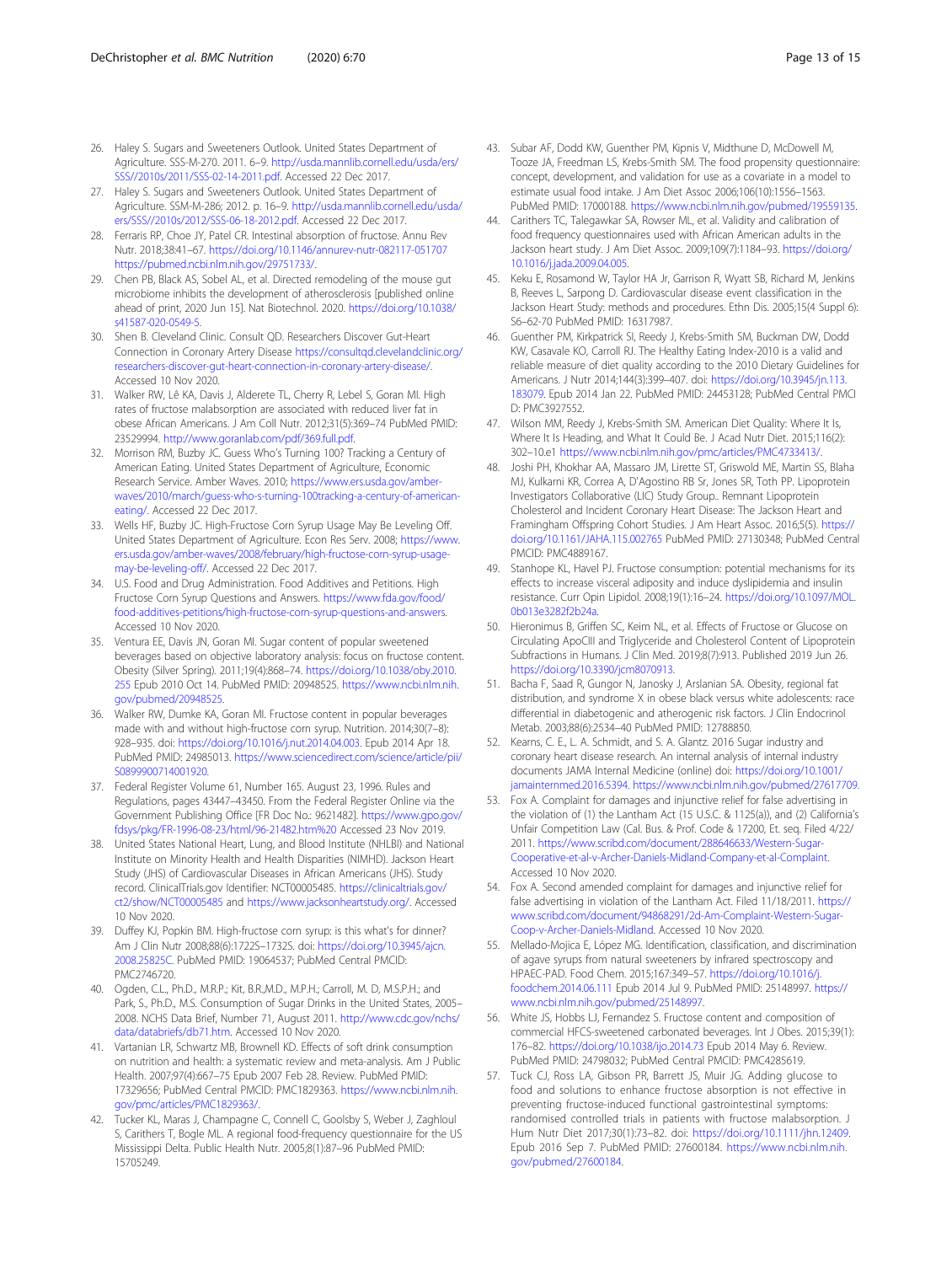- <span id="page-12-0"></span>26. Haley S. Sugars and Sweeteners Outlook. United States Department of Agriculture. SSS-M-270. 2011. 6–9. [http://usda.mannlib.cornell.edu/usda/ers/](http://usda.mannlib.cornell.edu/usda/ers/SSS/2010s/2011/SSS-02-14-2011.pdf) [SSS//2010s/2011/SSS-02-14-2011.pdf](http://usda.mannlib.cornell.edu/usda/ers/SSS/2010s/2011/SSS-02-14-2011.pdf). Accessed 22 Dec 2017.
- 27. Haley S. Sugars and Sweeteners Outlook. United States Department of Agriculture. SSM-M-286; 2012. p. 16–9. [http://usda.mannlib.cornell.edu/usda/](http://usda.mannlib.cornell.edu/usda/ers/SSS/2010s/2012/SSS-06-18-2012.pdf) [ers/SSS//2010s/2012/SSS-06-18-2012.pdf.](http://usda.mannlib.cornell.edu/usda/ers/SSS/2010s/2012/SSS-06-18-2012.pdf) Accessed 22 Dec 2017.
- 28. Ferraris RP, Choe JY, Patel CR. Intestinal absorption of fructose. Annu Rev Nutr. 2018;38:41–67. <https://doi.org/10.1146/annurev-nutr-082117-051707> [https://pubmed.ncbi.nlm.nih.gov/29751733/.](https://pubmed.ncbi.nlm.nih.gov/29751733/)
- 29. Chen PB, Black AS, Sobel AL, et al. Directed remodeling of the mouse gut microbiome inhibits the development of atherosclerosis [published online ahead of print, 2020 Jun 15]. Nat Biotechnol. 2020. [https://doi.org/10.1038/](https://doi.org/10.1038/s41587-020-0549-5) [s41587-020-0549-5.](https://doi.org/10.1038/s41587-020-0549-5)
- 30. Shen B. Cleveland Clinic. Consult QD. Researchers Discover Gut-Heart Connection in Coronary Artery Disease [https://consultqd.clevelandclinic.org/](https://consultqd.clevelandclinic.org/researchers-discover-gut-heart-connection-in-coronary-artery-disease/) [researchers-discover-gut-heart-connection-in-coronary-artery-disease/](https://consultqd.clevelandclinic.org/researchers-discover-gut-heart-connection-in-coronary-artery-disease/). Accessed 10 Nov 2020.
- 31. Walker RW, Lê KA, Davis J, Alderete TL, Cherry R, Lebel S, Goran MI. High rates of fructose malabsorption are associated with reduced liver fat in obese African Americans. J Am Coll Nutr. 2012;31(5):369–74 PubMed PMID: 23529994. <http://www.goranlab.com/pdf/369.full.pdf>.
- 32. Morrison RM, Buzby JC. Guess Who's Turning 100? Tracking a Century of American Eating. United States Department of Agriculture, Economic Research Service. Amber Waves. 2010; [https://www.ers.usda.gov/amber](https://www.ers.usda.gov/amber-waves/2010/march/guess-who-s-turning-100tracking-a-century-of-american-eating/)[waves/2010/march/guess-who-s-turning-100tracking-a-century-of-american](https://www.ers.usda.gov/amber-waves/2010/march/guess-who-s-turning-100tracking-a-century-of-american-eating/)[eating/](https://www.ers.usda.gov/amber-waves/2010/march/guess-who-s-turning-100tracking-a-century-of-american-eating/). Accessed 22 Dec 2017.
- 33. Wells HF, Buzby JC. High-Fructose Corn Syrup Usage May Be Leveling Off. United States Department of Agriculture. Econ Res Serv. 2008; [https://www.](https://www.ers.usda.gov/amber-waves/2008/february/high-fructose-corn-syrup-usage-may-be-leveling-off/) [ers.usda.gov/amber-waves/2008/february/high-fructose-corn-syrup-usage](https://www.ers.usda.gov/amber-waves/2008/february/high-fructose-corn-syrup-usage-may-be-leveling-off/)[may-be-leveling-off/](https://www.ers.usda.gov/amber-waves/2008/february/high-fructose-corn-syrup-usage-may-be-leveling-off/). Accessed 22 Dec 2017.
- 34. U.S. Food and Drug Administration. Food Additives and Petitions. High Fructose Corn Syrup Questions and Answers. [https://www.fda.gov/food/](https://www.fda.gov/food/food-additives-petitions/high-fructose-corn-syrup-questions-and-answers) [food-additives-petitions/high-fructose-corn-syrup-questions-and-answers.](https://www.fda.gov/food/food-additives-petitions/high-fructose-corn-syrup-questions-and-answers) Accessed 10 Nov 2020.
- 35. Ventura EE, Davis JN, Goran MI. Sugar content of popular sweetened beverages based on objective laboratory analysis: focus on fructose content. Obesity (Silver Spring). 2011;19(4):868–74. [https://doi.org/10.1038/oby.2010.](https://doi.org/10.1038/oby.2010.255) [255](https://doi.org/10.1038/oby.2010.255) Epub 2010 Oct 14. PubMed PMID: 20948525. [https://www.ncbi.nlm.nih.](https://www.ncbi.nlm.nih.gov/pubmed/20948525) [gov/pubmed/20948525](https://www.ncbi.nlm.nih.gov/pubmed/20948525).
- 36. Walker RW, Dumke KA, Goran MI. Fructose content in popular beverages made with and without high-fructose corn syrup. Nutrition. 2014;30(7–8): 928–935. doi: <https://doi.org/10.1016/j.nut.2014.04.003>. Epub 2014 Apr 18. PubMed PMID: 24985013. [https://www.sciencedirect.com/science/article/pii/](https://www.sciencedirect.com/science/article/pii/S0899900714001920) [S0899900714001920.](https://www.sciencedirect.com/science/article/pii/S0899900714001920)
- 37. Federal Register Volume 61, Number 165. August 23, 1996. Rules and Regulations, pages 43447–43450. From the Federal Register Online via the Government Publishing Office [FR Doc No.: 9621482]. [https://www.gpo.gov/](https://www.gpo.gov/fdsys/pkg/FR-1996-08-23/html/96-21482.htm%20) [fdsys/pkg/FR-1996-08-23/html/96-21482.htm%20](https://www.gpo.gov/fdsys/pkg/FR-1996-08-23/html/96-21482.htm%20) Accessed 23 Nov 2019.
- 38. United States National Heart, Lung, and Blood Institute (NHLBI) and National Institute on Minority Health and Health Disparities (NIMHD). Jackson Heart Study (JHS) of Cardiovascular Diseases in African Americans (JHS). Study record. ClinicalTrials.gov Identifier: NCT00005485. [https://clinicaltrials.gov/](https://clinicaltrials.gov/ct2/show/NCT00005485) [ct2/show/NCT00005485](https://clinicaltrials.gov/ct2/show/NCT00005485) and <https://www.jacksonheartstudy.org/>. Accessed 10 Nov 2020.
- 39. Duffey KJ, Popkin BM. High-fructose corn syrup: is this what's for dinner? Am J Clin Nutr 2008;88(6):1722S–1732S. doi: [https://doi.org/10.3945/ajcn.](https://doi.org/10.3945/ajcn.2008.25825C) [2008.25825C.](https://doi.org/10.3945/ajcn.2008.25825C) PubMed PMID: 19064537; PubMed Central PMCID: PMC2746720.
- 40. Ogden, C.L., Ph.D., M.R.P.; Kit, B.R.,M.D., M.P.H.; Carroll, M. D, M.S.P.H.; and Park, S., Ph.D., M.S. Consumption of Sugar Drinks in the United States, 2005– 2008. NCHS Data Brief, Number 71, August 2011. [http://www.cdc.gov/nchs/](http://www.cdc.gov/nchs/data/databriefs/db71.htm) [data/databriefs/db71.htm](http://www.cdc.gov/nchs/data/databriefs/db71.htm). Accessed 10 Nov 2020.
- 41. Vartanian LR, Schwartz MB, Brownell KD. Effects of soft drink consumption on nutrition and health: a systematic review and meta-analysis. Am J Public Health. 2007;97(4):667–75 Epub 2007 Feb 28. Review. PubMed PMID: 17329656; PubMed Central PMCID: PMC1829363. [https://www.ncbi.nlm.nih.](https://www.ncbi.nlm.nih.gov/pmc/articles/PMC1829363/) [gov/pmc/articles/PMC1829363/.](https://www.ncbi.nlm.nih.gov/pmc/articles/PMC1829363/)
- 42. Tucker KL, Maras J, Champagne C, Connell C, Goolsby S, Weber J, Zaghloul S, Carithers T, Bogle ML. A regional food-frequency questionnaire for the US Mississippi Delta. Public Health Nutr. 2005;8(1):87–96 PubMed PMID: 15705249.
- 43. Subar AF, Dodd KW, Guenther PM, Kipnis V, Midthune D, McDowell M, Tooze JA, Freedman LS, Krebs-Smith SM. The food propensity questionnaire: concept, development, and validation for use as a covariate in a model to estimate usual food intake. J Am Diet Assoc 2006;106(10):1556–1563. PubMed PMID: 17000188. <https://www.ncbi.nlm.nih.gov/pubmed/19559135>.
- 44. Carithers TC, Talegawkar SA, Rowser ML, et al. Validity and calibration of food frequency questionnaires used with African American adults in the Jackson heart study. J Am Diet Assoc. 2009;109(7):1184–93. [https://doi.org/](https://doi.org/10.1016/j.jada.2009.04.005) [10.1016/j.jada.2009.04.005](https://doi.org/10.1016/j.jada.2009.04.005).
- 45. Keku E, Rosamond W, Taylor HA Jr, Garrison R, Wyatt SB, Richard M, Jenkins B, Reeves L, Sarpong D. Cardiovascular disease event classification in the Jackson Heart Study: methods and procedures. Ethn Dis. 2005;15(4 Suppl 6): S6–62-70 PubMed PMID: 16317987.
- 46. Guenther PM, Kirkpatrick SI, Reedy J, Krebs-Smith SM, Buckman DW, Dodd KW, Casavale KO, Carroll RJ. The Healthy Eating Index-2010 is a valid and reliable measure of diet quality according to the 2010 Dietary Guidelines for Americans. J Nutr 2014;144(3):399–407. doi: [https://doi.org/10.3945/jn.113.](https://doi.org/10.3945/jn.113.183079) [183079](https://doi.org/10.3945/jn.113.183079). Epub 2014 Jan 22. PubMed PMID: 24453128; PubMed Central PMCI D: PMC3927552.
- 47. Wilson MM, Reedy J, Krebs-Smith SM. American Diet Quality: Where It Is, Where It Is Heading, and What It Could Be. J Acad Nutr Diet. 2015;116(2): 302–10.e1 <https://www.ncbi.nlm.nih.gov/pmc/articles/PMC4733413/>.
- 48. Joshi PH, Khokhar AA, Massaro JM, Lirette ST, Griswold ME, Martin SS, Blaha MJ, Kulkarni KR, Correa A, D'Agostino RB Sr, Jones SR, Toth PP. Lipoprotein Investigators Collaborative (LIC) Study Group.. Remnant Lipoprotein Cholesterol and Incident Coronary Heart Disease: The Jackson Heart and Framingham Offspring Cohort Studies. J Am Heart Assoc. 2016;5(5). [https://](https://doi.org/10.1161/JAHA.115.002765) [doi.org/10.1161/JAHA.115.002765](https://doi.org/10.1161/JAHA.115.002765) PubMed PMID: 27130348; PubMed Central PMCID: PMC4889167.
- 49. Stanhope KL, Havel PJ. Fructose consumption: potential mechanisms for its effects to increase visceral adiposity and induce dyslipidemia and insulin resistance. Curr Opin Lipidol. 2008;19(1):16–24. [https://doi.org/10.1097/MOL.](https://doi.org/10.1097/MOL.0b013e3282f2b24a) [0b013e3282f2b24a](https://doi.org/10.1097/MOL.0b013e3282f2b24a).
- 50. Hieronimus B, Griffen SC, Keim NL, et al. Effects of Fructose or Glucose on Circulating ApoCIII and Triglyceride and Cholesterol Content of Lipoprotein Subfractions in Humans. J Clin Med. 2019;8(7):913. Published 2019 Jun 26. <https://doi.org/10.3390/jcm8070913>.
- 51. Bacha F, Saad R, Gungor N, Janosky J, Arslanian SA. Obesity, regional fat distribution, and syndrome X in obese black versus white adolescents: race differential in diabetogenic and atherogenic risk factors. J Clin Endocrinol Metab. 2003;88(6):2534–40 PubMed PMID: 12788850.
- 52. Kearns, C. E., L. A. Schmidt, and S. A. Glantz. 2016 Sugar industry and coronary heart disease research. An internal analysis of internal industry documents JAMA Internal Medicine (online) doi: [https://doi.org/10.1001/](https://doi.org/10.1001/jamainternmed.2016.5394) [jamainternmed.2016.5394.](https://doi.org/10.1001/jamainternmed.2016.5394) [https://www.ncbi.nlm.nih.gov/pubmed/27617709.](https://www.ncbi.nlm.nih.gov/pubmed/27617709)
- 53. Fox A. Complaint for damages and injunctive relief for false advertising in the violation of (1) the Lantham Act (15 U.S.C. & 1125(a)), and (2) California's Unfair Competition Law (Cal. Bus. & Prof. Code & 17200, Et. seq. Filed 4/22/ 2011. [https://www.scribd.com/document/288646633/Western-Sugar-](https://www.scribd.com/document/288646633/Western-Sugar-Cooperative-et-al-v-Archer-Daniels-Midland-Company-et-al-Complaint)[Cooperative-et-al-v-Archer-Daniels-Midland-Company-et-al-Complaint.](https://www.scribd.com/document/288646633/Western-Sugar-Cooperative-et-al-v-Archer-Daniels-Midland-Company-et-al-Complaint) Accessed 10 Nov 2020.
- 54. Fox A. Second amended complaint for damages and injunctive relief for false advertising in violation of the Lantham Act. Filed 11/18/2011. [https://](https://www.scribd.com/document/94868291/2d-Am-Complaint-Western-Sugar-Coop-v-Archer-Daniels-Midland) [www.scribd.com/document/94868291/2d-Am-Complaint-Western-Sugar-](https://www.scribd.com/document/94868291/2d-Am-Complaint-Western-Sugar-Coop-v-Archer-Daniels-Midland)[Coop-v-Archer-Daniels-Midland.](https://www.scribd.com/document/94868291/2d-Am-Complaint-Western-Sugar-Coop-v-Archer-Daniels-Midland) Accessed 10 Nov 2020.
- 55. Mellado-Mojica E, López MG. Identification, classification, and discrimination of agave syrups from natural sweeteners by infrared spectroscopy and HPAEC-PAD. Food Chem. 2015;167:349–57. [https://doi.org/10.1016/j.](https://doi.org/10.1016/j.foodchem.2014.06.111) [foodchem.2014.06.111](https://doi.org/10.1016/j.foodchem.2014.06.111) Epub 2014 Jul 9. PubMed PMID: 25148997. [https://](https://www.ncbi.nlm.nih.gov/pubmed/25148997) [www.ncbi.nlm.nih.gov/pubmed/25148997.](https://www.ncbi.nlm.nih.gov/pubmed/25148997)
- 56. White JS, Hobbs LJ, Fernandez S. Fructose content and composition of commercial HFCS-sweetened carbonated beverages. Int J Obes. 2015;39(1): 176–82. <https://doi.org/10.1038/ijo.2014.73> Epub 2014 May 6. Review. PubMed PMID: 24798032; PubMed Central PMCID: PMC4285619.
- 57. Tuck CJ, Ross LA, Gibson PR, Barrett JS, Muir JG. Adding glucose to food and solutions to enhance fructose absorption is not effective in preventing fructose-induced functional gastrointestinal symptoms: randomised controlled trials in patients with fructose malabsorption. J Hum Nutr Diet 2017;30(1):73–82. doi: <https://doi.org/10.1111/jhn.12409>. Epub 2016 Sep 7. PubMed PMID: 27600184. [https://www.ncbi.nlm.nih.](https://www.ncbi.nlm.nih.gov/pubmed?cmd=historysearch&querykey=21) [gov/pubmed/27600184.](https://www.ncbi.nlm.nih.gov/pubmed?cmd=historysearch&querykey=21)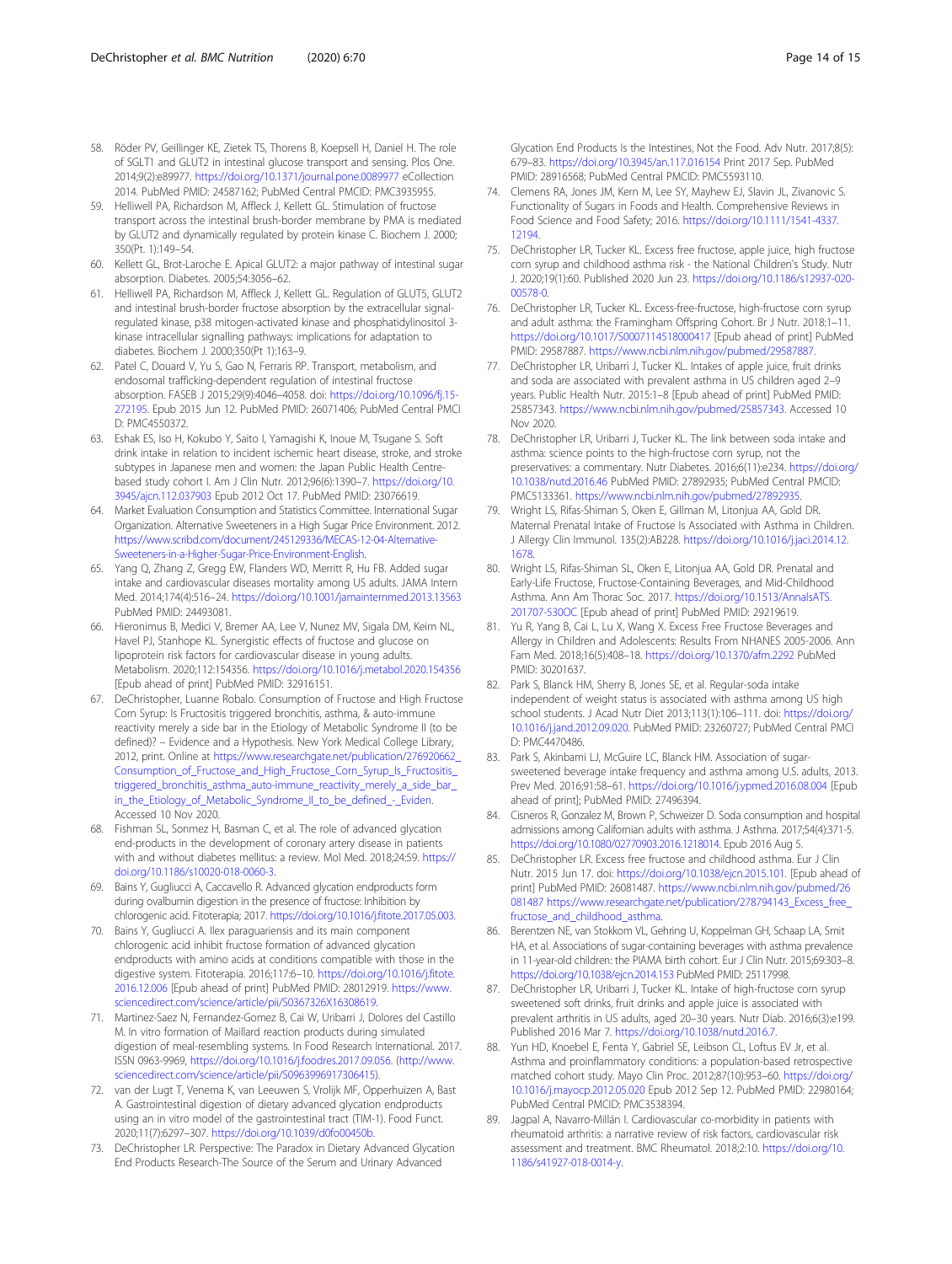- <span id="page-13-0"></span>58. Röder PV, Geillinger KE, Zietek TS, Thorens B, Koepsell H, Daniel H. The role of SGLT1 and GLUT2 in intestinal glucose transport and sensing. Plos One. 2014;9(2):e89977. <https://doi.org/10.1371/journal.pone.0089977> eCollection 2014. PubMed PMID: 24587162; PubMed Central PMCID: PMC3935955.
- 59. Helliwell PA, Richardson M, Affleck J, Kellett GL. Stimulation of fructose transport across the intestinal brush-border membrane by PMA is mediated by GLUT2 and dynamically regulated by protein kinase C. Biochem J. 2000; 350(Pt. 1):149–54.
- 60. Kellett GL, Brot-Laroche E. Apical GLUT2: a major pathway of intestinal sugar absorption. Diabetes. 2005;54:3056–62.
- 61. Helliwell PA, Richardson M, Affleck J, Kellett GL. Regulation of GLUT5, GLUT2 and intestinal brush-border fructose absorption by the extracellular signalregulated kinase, p38 mitogen-activated kinase and phosphatidylinositol 3 kinase intracellular signalling pathways: implications for adaptation to diabetes. Biochem J. 2000;350(Pt 1):163–9.
- 62. Patel C, Douard V, Yu S, Gao N, Ferraris RP. Transport, metabolism, and endosomal trafficking-dependent regulation of intestinal fructose absorption. FASEB J 2015;29(9):4046–4058. doi: [https://doi.org/10.1096/fj.15-](https://doi.org/10.1096/fj.15-272195) [272195](https://doi.org/10.1096/fj.15-272195). Epub 2015 Jun 12. PubMed PMID: 26071406; PubMed Central PMCI D: PMC4550372.
- 63. Eshak ES, Iso H, Kokubo Y, Saito I, Yamagishi K, Inoue M, Tsugane S. Soft drink intake in relation to incident ischemic heart disease, stroke, and stroke subtypes in Japanese men and women: the Japan Public Health Centrebased study cohort I. Am J Clin Nutr. 2012;96(6):1390–7. [https://doi.org/10.](https://doi.org/10.3945/ajcn.112.037903) [3945/ajcn.112.037903](https://doi.org/10.3945/ajcn.112.037903) Epub 2012 Oct 17. PubMed PMID: 23076619.
- 64. Market Evaluation Consumption and Statistics Committee. International Sugar Organization. Alternative Sweeteners in a High Sugar Price Environment. 2012. [https://www.scribd.com/document/245129336/MECAS-12-04-Alternative-](https://www.scribd.com/document/245129336/MECAS-12-04-Alternative-Sweeteners-in-a-Higher-Sugar-Price-Environment-English)[Sweeteners-in-a-Higher-Sugar-Price-Environment-English](https://www.scribd.com/document/245129336/MECAS-12-04-Alternative-Sweeteners-in-a-Higher-Sugar-Price-Environment-English).
- 65. Yang Q, Zhang Z, Gregg EW, Flanders WD, Merritt R, Hu FB. Added sugar intake and cardiovascular diseases mortality among US adults. JAMA Intern Med. 2014;174(4):516–24. <https://doi.org/10.1001/jamainternmed.2013.13563> PubMed PMID: 24493081.
- 66. Hieronimus B, Medici V, Bremer AA, Lee V, Nunez MV, Sigala DM, Keim NL, Havel PJ, Stanhope KL. Synergistic effects of fructose and glucose on lipoprotein risk factors for cardiovascular disease in young adults. Metabolism. 2020;112:154356. <https://doi.org/10.1016/j.metabol.2020.154356> [Epub ahead of print] PubMed PMID: 32916151.
- 67. DeChristopher, Luanne Robalo. Consumption of Fructose and High Fructose Corn Syrup: Is Fructositis triggered bronchitis, asthma, & auto-immune reactivity merely a side bar in the Etiology of Metabolic Syndrome II (to be defined)? – Evidence and a Hypothesis. New York Medical College Library, 2012, print. Online at [https://www.researchgate.net/publication/276920662\\_](https://www.researchgate.net/publication/276920662_Consumption_of_Fructose_and_High_Fructose_Corn_Syrup_Is_Fructositis_triggered_bronchitis_asthma_auto-immune_reactivity_merely_a_side_bar_in_the_Etiology_of_Metabolic_Syndrome_II_to_be_defined_-_Eviden) [Consumption\\_of\\_Fructose\\_and\\_High\\_Fructose\\_Corn\\_Syrup\\_Is\\_Fructositis\\_](https://www.researchgate.net/publication/276920662_Consumption_of_Fructose_and_High_Fructose_Corn_Syrup_Is_Fructositis_triggered_bronchitis_asthma_auto-immune_reactivity_merely_a_side_bar_in_the_Etiology_of_Metabolic_Syndrome_II_to_be_defined_-_Eviden) [triggered\\_bronchitis\\_asthma\\_auto-immune\\_reactivity\\_merely\\_a\\_side\\_bar\\_](https://www.researchgate.net/publication/276920662_Consumption_of_Fructose_and_High_Fructose_Corn_Syrup_Is_Fructositis_triggered_bronchitis_asthma_auto-immune_reactivity_merely_a_side_bar_in_the_Etiology_of_Metabolic_Syndrome_II_to_be_defined_-_Eviden) [in\\_the\\_Etiology\\_of\\_Metabolic\\_Syndrome\\_II\\_to\\_be\\_defined\\_-\\_Eviden.](https://www.researchgate.net/publication/276920662_Consumption_of_Fructose_and_High_Fructose_Corn_Syrup_Is_Fructositis_triggered_bronchitis_asthma_auto-immune_reactivity_merely_a_side_bar_in_the_Etiology_of_Metabolic_Syndrome_II_to_be_defined_-_Eviden) Accessed 10 Nov 2020.
- 68. Fishman SL, Sonmez H, Basman C, et al. The role of advanced glycation end-products in the development of coronary artery disease in patients with and without diabetes mellitus: a review. Mol Med. 2018;24:59. [https://](https://doi.org/10.1186/s10020-018-0060-3) [doi.org/10.1186/s10020-018-0060-3](https://doi.org/10.1186/s10020-018-0060-3).
- 69. Bains Y, Gugliucci A, Caccavello R. Advanced glycation endproducts form during ovalbumin digestion in the presence of fructose: Inhibition by chlorogenic acid. Fitoterapia; 2017. <https://doi.org/10.1016/j.fitote.2017.05.003>.
- 70. Bains Y, Gugliucci A. Ilex paraguariensis and its main component chlorogenic acid inhibit fructose formation of advanced glycation endproducts with amino acids at conditions compatible with those in the digestive system. Fitoterapia. 2016;117:6–10. [https://doi.org/10.1016/j.fitote.](https://doi.org/10.1016/j.fitote.2016.12.006) [2016.12.006](https://doi.org/10.1016/j.fitote.2016.12.006) [Epub ahead of print] PubMed PMID: 28012919. [https://www.](https://www.sciencedirect.com/science/article/pii/S0367326X16308619) [sciencedirect.com/science/article/pii/S0367326X16308619](https://www.sciencedirect.com/science/article/pii/S0367326X16308619).
- 71. Martinez-Saez N, Fernandez-Gomez B, Cai W, Uribarri J, Dolores del Castillo M. In vitro formation of Maillard reaction products during simulated digestion of meal-resembling systems. In Food Research International. 2017. ISSN 0963-9969, [https://doi.org/10.1016/j.foodres.2017.09.056.](https://doi.org/10.1016/j.foodres.2017.09.056) ([http://www.](http://www.sciencedirect.com/science/article/pii/S0963996917306415) [sciencedirect.com/science/article/pii/S0963996917306415\)](http://www.sciencedirect.com/science/article/pii/S0963996917306415).
- 72. van der Lugt T, Venema K, van Leeuwen S, Vrolijk MF, Opperhuizen A, Bast A. Gastrointestinal digestion of dietary advanced glycation endproducts using an in vitro model of the gastrointestinal tract (TIM-1). Food Funct. 2020;11(7):6297–307. <https://doi.org/10.1039/d0fo00450b>.
- 73. DeChristopher LR. Perspective: The Paradox in Dietary Advanced Glycation End Products Research-The Source of the Serum and Urinary Advanced

Glycation End Products Is the Intestines, Not the Food. Adv Nutr. 2017;8(5): 679–83. <https://doi.org/10.3945/an.117.016154> Print 2017 Sep. PubMed PMID: 28916568; PubMed Central PMCID: PMC5593110.

- 74. Clemens RA, Jones JM, Kern M, Lee SY, Mayhew EJ, Slavin JL, Zivanovic S. Functionality of Sugars in Foods and Health. Comprehensive Reviews in Food Science and Food Safety; 2016. [https://doi.org/10.1111/1541-4337.](https://doi.org/10.1111/1541-4337.12194) [12194.](https://doi.org/10.1111/1541-4337.12194)
- 75. DeChristopher LR, Tucker KL. Excess free fructose, apple juice, high fructose corn syrup and childhood asthma risk - the National Children's Study. Nutr J. 2020;19(1):60. Published 2020 Jun 23. [https://doi.org/10.1186/s12937-020-](https://doi.org/10.1186/s12937-020-00578-0) [00578-0](https://doi.org/10.1186/s12937-020-00578-0).
- 76. DeChristopher LR, Tucker KL. Excess-free-fructose, high-fructose corn syrup and adult asthma: the Framingham Offspring Cohort. Br J Nutr. 2018:1–11. <https://doi.org/10.1017/S0007114518000417> [Epub ahead of print] PubMed PMID: 29587887. <https://www.ncbi.nlm.nih.gov/pubmed/29587887>.
- 77. DeChristopher LR, Uribarri J, Tucker KL. Intakes of apple juice, fruit drinks and soda are associated with prevalent asthma in US children aged 2–9 years. Public Health Nutr. 2015:1–8 [Epub ahead of print] PubMed PMID: 25857343. [https://www.ncbi.nlm.nih.gov/pubmed/25857343.](https://www.ncbi.nlm.nih.gov/pubmed/25857343) Accessed 10 Nov 2020.
- 78. DeChristopher LR, Uribarri J, Tucker KL. The link between soda intake and asthma: science points to the high-fructose corn syrup, not the preservatives: a commentary. Nutr Diabetes. 2016;6(11):e234. [https://doi.org/](https://doi.org/10.1038/nutd.2016.46) [10.1038/nutd.2016.46](https://doi.org/10.1038/nutd.2016.46) PubMed PMID: 27892935; PubMed Central PMCID: PMC5133361. [https://www.ncbi.nlm.nih.gov/pubmed/27892935.](https://www.ncbi.nlm.nih.gov/pubmed/27892935)
- 79. Wright LS, Rifas-Shiman S, Oken E, Gillman M, Litonjua AA, Gold DR. Maternal Prenatal Intake of Fructose Is Associated with Asthma in Children. J Allergy Clin Immunol. 135(2):AB228. [https://doi.org/10.1016/j.jaci.2014.12.](https://doi.org/10.1016/j.jaci.2014.12.1678) [1678](https://doi.org/10.1016/j.jaci.2014.12.1678).
- 80. Wright LS, Rifas-Shiman SL, Oken E, Litonjua AA, Gold DR. Prenatal and Early-Life Fructose, Fructose-Containing Beverages, and Mid-Childhood Asthma. Ann Am Thorac Soc. 2017. [https://doi.org/10.1513/AnnalsATS.](https://doi.org/10.1513/AnnalsATS.201707-530OC) [201707-530OC](https://doi.org/10.1513/AnnalsATS.201707-530OC) [Epub ahead of print] PubMed PMID: 29219619.
- 81. Yu R, Yang B, Cai L, Lu X, Wang X. Excess Free Fructose Beverages and Allergy in Children and Adolescents: Results From NHANES 2005-2006. Ann Fam Med. 2018;16(5):408–18. <https://doi.org/10.1370/afm.2292> PubMed PMID: 30201637.
- 82. Park S, Blanck HM, Sherry B, Jones SE, et al. Regular-soda intake independent of weight status is associated with asthma among US high school students. J Acad Nutr Diet 2013;113(1):106–111. doi: [https://doi.org/](https://doi.org/10.1016/j.jand.2012.09.020) [10.1016/j.jand.2012.09.020](https://doi.org/10.1016/j.jand.2012.09.020). PubMed PMID: 23260727; PubMed Central PMCI D: PMC4470486.
- 83. Park S, Akinbami LJ, McGuire LC, Blanck HM. Association of sugarsweetened beverage intake frequency and asthma among U.S. adults, 2013. Prev Med. 2016;91:58–61. <https://doi.org/10.1016/j.ypmed.2016.08.004> [Epub ahead of print]; PubMed PMID: 27496394.
- 84. Cisneros R, Gonzalez M, Brown P, Schweizer D. Soda consumption and hospital admissions among Californian adults with asthma. J Asthma. 2017;54(4):371-5. <https://doi.org/10.1080/02770903.2016.1218014>. Epub 2016 Aug 5.
- 85. DeChristopher LR. Excess free fructose and childhood asthma. Eur J Clin Nutr. 2015 Jun 17. doi: <https://doi.org/10.1038/ejcn.2015.101>. [Epub ahead of print] PubMed PMID: 26081487. [https://www.ncbi.nlm.nih.gov/pubmed/26](https://www.ncbi.nlm.nih.gov/pubmed/26081487) [081487](https://www.ncbi.nlm.nih.gov/pubmed/26081487) https://www.researchgate.net/publication/278794143\_Excess\_free [fructose\\_and\\_childhood\\_asthma.](https://www.researchgate.net/publication/278794143_Excess_free_fructose_and_childhood_asthma)
- 86. Berentzen NE, van Stokkom VL, Gehring U, Koppelman GH, Schaap LA, Smit HA, et al. Associations of sugar-containing beverages with asthma prevalence in 11-year-old children: the PIAMA birth cohort. Eur J Clin Nutr. 2015;69:303–8. <https://doi.org/10.1038/ejcn.2014.153> PubMed PMID: 25117998.
- 87. DeChristopher LR, Uribarri J, Tucker KL. Intake of high-fructose corn syrup sweetened soft drinks, fruit drinks and apple juice is associated with prevalent arthritis in US adults, aged 20–30 years. Nutr Diab. 2016;6(3):e199. Published 2016 Mar 7. <https://doi.org/10.1038/nutd.2016.7>.
- 88. Yun HD, Knoebel E, Fenta Y, Gabriel SE, Leibson CL, Loftus EV Jr, et al. Asthma and proinflammatory conditions: a population-based retrospective matched cohort study. Mayo Clin Proc. 2012;87(10):953–60. [https://doi.org/](https://doi.org/10.1016/j.mayocp.2012.05.020) [10.1016/j.mayocp.2012.05.020](https://doi.org/10.1016/j.mayocp.2012.05.020) Epub 2012 Sep 12. PubMed PMID: 22980164; PubMed Central PMCID: PMC3538394.
- 89. Jagpal A, Navarro-Millán I. Cardiovascular co-morbidity in patients with rheumatoid arthritis: a narrative review of risk factors, cardiovascular risk assessment and treatment. BMC Rheumatol. 2018;2:10. [https://doi.org/10.](https://doi.org/10.1186/s41927-018-0014-y) [1186/s41927-018-0014-y.](https://doi.org/10.1186/s41927-018-0014-y)